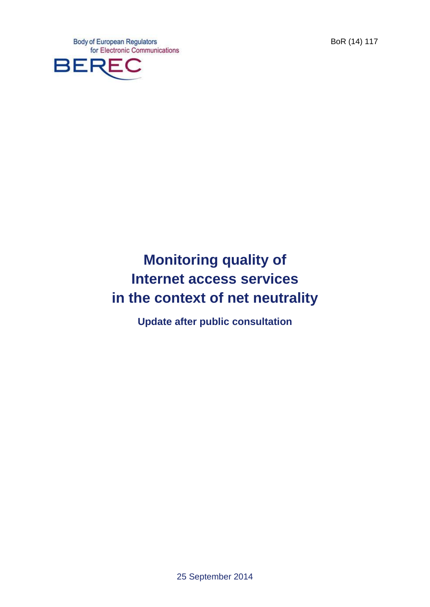**Body of European Regulators** for Electronic Communications



# **Monitoring quality of Internet access services in the context of net neutrality**

**Update after public consultation**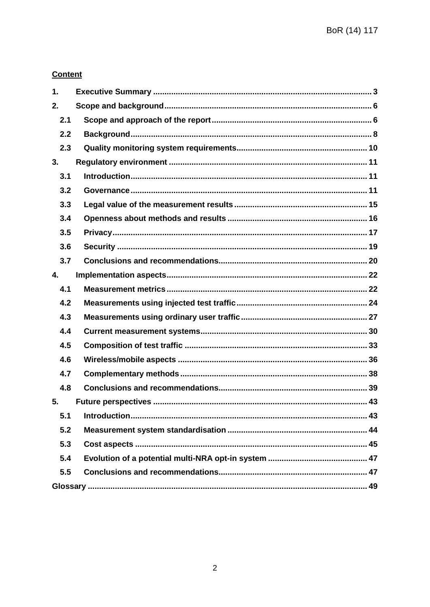## **Content**

| 1.  |  |
|-----|--|
| 2.  |  |
| 2.1 |  |
| 2.2 |  |
| 2.3 |  |
| 3.  |  |
| 3.1 |  |
| 3.2 |  |
| 3.3 |  |
| 3.4 |  |
| 3.5 |  |
| 3.6 |  |
| 3.7 |  |
| 4.  |  |
| 4.1 |  |
| 4.2 |  |
| 4.3 |  |
| 4.4 |  |
| 4.5 |  |
| 4.6 |  |
| 4.7 |  |
| 4.8 |  |
| 5.  |  |
| 5.1 |  |
| 5.2 |  |
| 5.3 |  |
| 5.4 |  |
| 5.5 |  |
|     |  |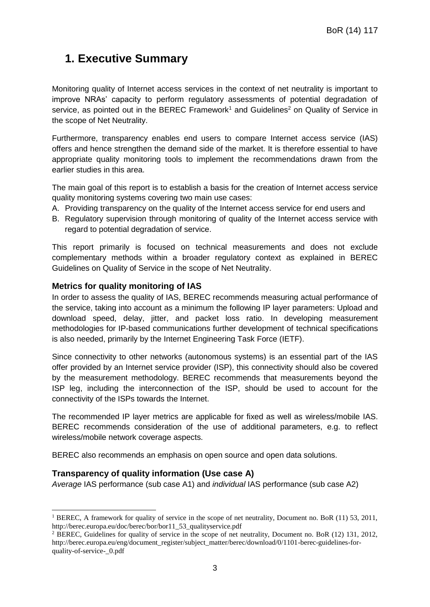## <span id="page-2-0"></span>**1. Executive Summary**

Monitoring quality of Internet access services in the context of net neutrality is important to improve NRAs' capacity to perform regulatory assessments of potential degradation of service, as pointed out in the BEREC Framework<sup>1</sup> and Guidelines<sup>2</sup> on Quality of Service in the scope of Net Neutrality.

Furthermore, transparency enables end users to compare Internet access service (IAS) offers and hence strengthen the demand side of the market. It is therefore essential to have appropriate quality monitoring tools to implement the recommendations drawn from the earlier studies in this area.

The main goal of this report is to establish a basis for the creation of Internet access service quality monitoring systems covering two main use cases:

- A. Providing transparency on the quality of the Internet access service for end users and
- B. Regulatory supervision through monitoring of quality of the Internet access service with regard to potential degradation of service.

This report primarily is focused on technical measurements and does not exclude complementary methods within a broader regulatory context as explained in BEREC Guidelines on Quality of Service in the scope of Net Neutrality.

#### **Metrics for quality monitoring of IAS**

In order to assess the quality of IAS, BEREC recommends measuring actual performance of the service, taking into account as a minimum the following IP layer parameters: Upload and download speed, delay, jitter, and packet loss ratio. In developing measurement methodologies for IP-based communications further development of technical specifications is also needed, primarily by the Internet Engineering Task Force (IETF).

Since connectivity to other networks (autonomous systems) is an essential part of the IAS offer provided by an Internet service provider (ISP), this connectivity should also be covered by the measurement methodology. BEREC recommends that measurements beyond the ISP leg, including the interconnection of the ISP, should be used to account for the connectivity of the ISPs towards the Internet.

The recommended IP layer metrics are applicable for fixed as well as wireless/mobile IAS. BEREC recommends consideration of the use of additional parameters, e.g. to reflect wireless/mobile network coverage aspects.

BEREC also recommends an emphasis on open source and open data solutions.

#### **Transparency of quality information (Use case A)**

-

*Average* IAS performance (sub case A1) and *individual* IAS performance (sub case A2)

<sup>&</sup>lt;sup>1</sup> BEREC, A framework for quality of service in the scope of net neutrality, Document no. BoR (11) 53, 2011, http://berec.europa.eu/doc/berec/bor/bor11\_53\_qualityservice.pdf

<sup>2</sup> BEREC, Guidelines for quality of service in the scope of net neutrality, Document no. BoR (12) 131, 2012, http://berec.europa.eu/eng/document\_register/subject\_matter/berec/download/0/1101-berec-guidelines-forquality-of-service-\_0.pdf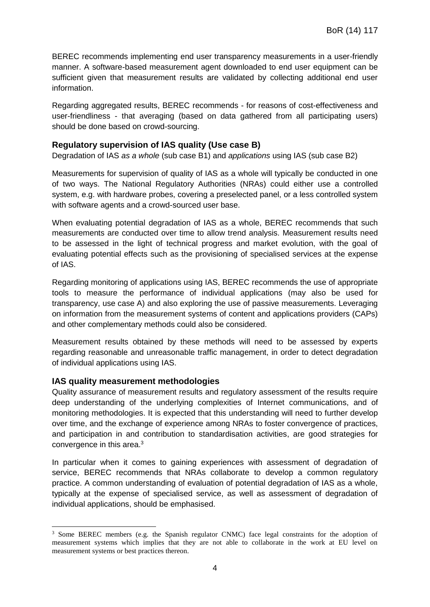BEREC recommends implementing end user transparency measurements in a user-friendly manner. A software-based measurement agent downloaded to end user equipment can be sufficient given that measurement results are validated by collecting additional end user information.

Regarding aggregated results, BEREC recommends - for reasons of cost-effectiveness and user-friendliness - that averaging (based on data gathered from all participating users) should be done based on crowd-sourcing.

#### **Regulatory supervision of IAS quality (Use case B)**

Degradation of IAS *as a whole* (sub case B1) and *applications* using IAS (sub case B2)

Measurements for supervision of quality of IAS as a whole will typically be conducted in one of two ways. The National Regulatory Authorities (NRAs) could either use a controlled system, e.g. with hardware probes, covering a preselected panel, or a less controlled system with software agents and a crowd-sourced user base.

When evaluating potential degradation of IAS as a whole, BEREC recommends that such measurements are conducted over time to allow trend analysis. Measurement results need to be assessed in the light of technical progress and market evolution, with the goal of evaluating potential effects such as the provisioning of specialised services at the expense of IAS.

Regarding monitoring of applications using IAS, BEREC recommends the use of appropriate tools to measure the performance of individual applications (may also be used for transparency, use case A) and also exploring the use of passive measurements. Leveraging on information from the measurement systems of content and applications providers (CAPs) and other complementary methods could also be considered.

Measurement results obtained by these methods will need to be assessed by experts regarding reasonable and unreasonable traffic management, in order to detect degradation of individual applications using IAS.

#### **IAS quality measurement methodologies**

Quality assurance of measurement results and regulatory assessment of the results require deep understanding of the underlying complexities of Internet communications, and of monitoring methodologies. It is expected that this understanding will need to further develop over time, and the exchange of experience among NRAs to foster convergence of practices, and participation in and contribution to standardisation activities, are good strategies for convergence in this area.<sup>3</sup>

In particular when it comes to gaining experiences with assessment of degradation of service, BEREC recommends that NRAs collaborate to develop a common regulatory practice. A common understanding of evaluation of potential degradation of IAS as a whole, typically at the expense of specialised service, as well as assessment of degradation of individual applications, should be emphasised.

<sup>-</sup><sup>3</sup> Some BEREC members (e.g. the Spanish regulator CNMC) face legal constraints for the adoption of measurement systems which implies that they are not able to collaborate in the work at EU level on measurement systems or best practices thereon.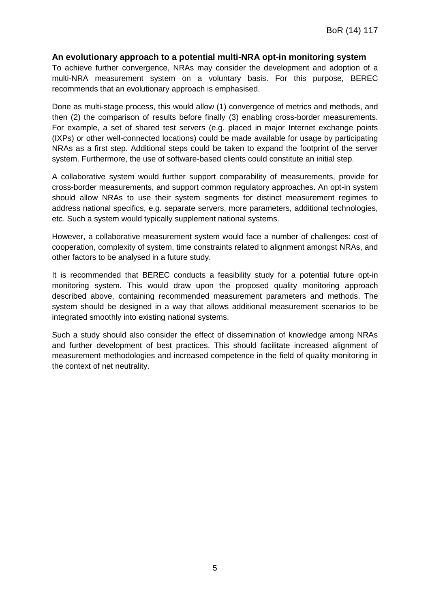#### **An evolutionary approach to a potential multi-NRA opt-in monitoring system**

To achieve further convergence, NRAs may consider the development and adoption of a multi-NRA measurement system on a voluntary basis. For this purpose, BEREC recommends that an evolutionary approach is emphasised.

Done as multi-stage process, this would allow (1) convergence of metrics and methods, and then (2) the comparison of results before finally (3) enabling cross-border measurements. For example, a set of shared test servers (e.g. placed in major Internet exchange points (IXPs) or other well-connected locations) could be made available for usage by participating NRAs as a first step. Additional steps could be taken to expand the footprint of the server system. Furthermore, the use of software-based clients could constitute an initial step.

A collaborative system would further support comparability of measurements, provide for cross-border measurements, and support common regulatory approaches. An opt-in system should allow NRAs to use their system segments for distinct measurement regimes to address national specifics, e.g. separate servers, more parameters, additional technologies, etc. Such a system would typically supplement national systems.

However, a collaborative measurement system would face a number of challenges: cost of cooperation, complexity of system, time constraints related to alignment amongst NRAs, and other factors to be analysed in a future study.

It is recommended that BEREC conducts a feasibility study for a potential future opt-in monitoring system. This would draw upon the proposed quality monitoring approach described above, containing recommended measurement parameters and methods. The system should be designed in a way that allows additional measurement scenarios to be integrated smoothly into existing national systems.

Such a study should also consider the effect of dissemination of knowledge among NRAs and further development of best practices. This should facilitate increased alignment of measurement methodologies and increased competence in the field of quality monitoring in the context of net neutrality.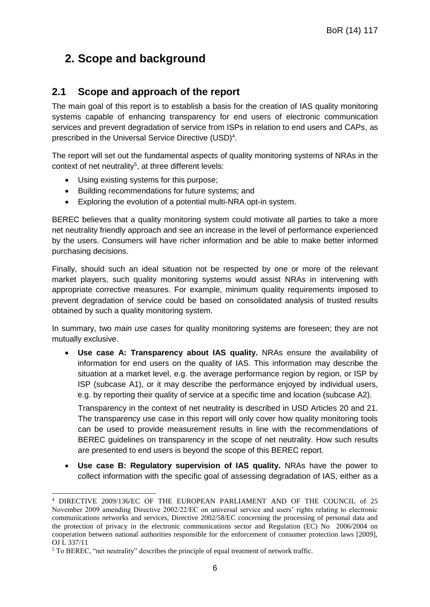## <span id="page-5-0"></span>**2. Scope and background**

## <span id="page-5-1"></span>**2.1 Scope and approach of the report**

The main goal of this report is to establish a basis for the creation of IAS quality monitoring systems capable of enhancing transparency for end users of electronic communication services and prevent degradation of service from ISPs in relation to end users and CAPs, as prescribed in the Universal Service Directive (USD)<sup>4</sup>.

The report will set out the fundamental aspects of quality monitoring systems of NRAs in the context of net neutrality<sup>5</sup>, at three different levels:

- Using existing systems for this purpose;
- Building recommendations for future systems; and
- Exploring the evolution of a potential multi-NRA opt-in system.

BEREC believes that a quality monitoring system could motivate all parties to take a more net neutrality friendly approach and see an increase in the level of performance experienced by the users. Consumers will have richer information and be able to make better informed purchasing decisions.

Finally, should such an ideal situation not be respected by one or more of the relevant market players, such quality monitoring systems would assist NRAs in intervening with appropriate corrective measures. For example, minimum quality requirements imposed to prevent degradation of service could be based on consolidated analysis of trusted results obtained by such a quality monitoring system.

In summary, two *main use cases* for quality monitoring systems are foreseen; they are not mutually exclusive.

 **Use case A: Transparency about IAS quality.** NRAs ensure the availability of information for end users on the quality of IAS. This information may describe the situation at a market level, e.g. the average performance region by region, or ISP by ISP (subcase A1), or it may describe the performance enjoyed by individual users, e.g. by reporting their quality of service at a specific time and location (subcase A2).

Transparency in the context of net neutrality is described in USD Articles 20 and 21. The transparency use case in this report will only cover how quality monitoring tools can be used to provide measurement results in line with the recommendations of BEREC guidelines on transparency in the scope of net neutrality. How such results are presented to end users is beyond the scope of this BEREC report.

 **Use case B: Regulatory supervision of IAS quality.** NRAs have the power to collect information with the specific goal of assessing degradation of IAS, either as a

<sup>-</sup><sup>4</sup> DIRECTIVE 2009/136/EC OF THE EUROPEAN PARLIAMENT AND OF THE COUNCIL of 25 November 2009 amending Directive 2002/22/EC on universal service and users' rights relating to electronic communications networks and services, Directive 2002/58/EC concerning the processing of personal data and the protection of privacy in the electronic communications sector and Regulation (EC) No 2006/2004 on cooperation between national authorities responsible for the enforcement of consumer protection laws [2009], OJ L 337/11

<sup>5</sup> To BEREC, "net neutrality" describes the principle of equal treatment of network traffic.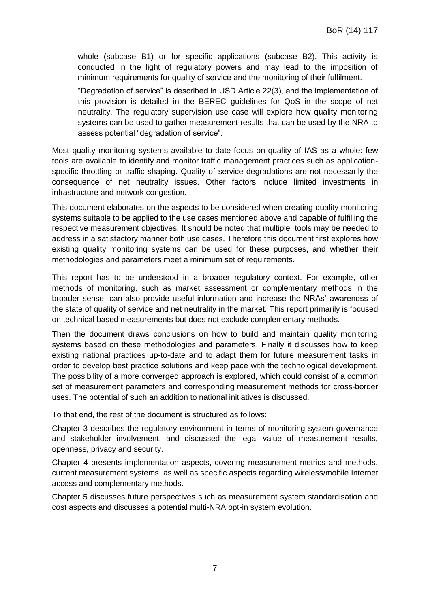whole (subcase B1) or for specific applications (subcase B2). This activity is conducted in the light of regulatory powers and may lead to the imposition of minimum requirements for quality of service and the monitoring of their fulfilment.

"Degradation of service" is described in USD Article 22(3), and the implementation of this provision is detailed in the BEREC guidelines for QoS in the scope of net neutrality. The regulatory supervision use case will explore how quality monitoring systems can be used to gather measurement results that can be used by the NRA to assess potential "degradation of service".

Most quality monitoring systems available to date focus on quality of IAS as a whole: few tools are available to identify and monitor traffic management practices such as applicationspecific throttling or traffic shaping. Quality of service degradations are not necessarily the consequence of net neutrality issues. Other factors include limited investments in infrastructure and network congestion.

This document elaborates on the aspects to be considered when creating quality monitoring systems suitable to be applied to the use cases mentioned above and capable of fulfilling the respective measurement objectives. It should be noted that multiple tools may be needed to address in a satisfactory manner both use cases. Therefore this document first explores how existing quality monitoring systems can be used for these purposes, and whether their methodologies and parameters meet a minimum set of requirements.

This report has to be understood in a broader regulatory context. For example, other methods of monitoring, such as market assessment or complementary methods in the broader sense, can also provide useful information and increase the NRAs' awareness of the state of quality of service and net neutrality in the market. This report primarily is focused on technical based measurements but does not exclude complementary methods.

Then the document draws conclusions on how to build and maintain quality monitoring systems based on these methodologies and parameters. Finally it discusses how to keep existing national practices up-to-date and to adapt them for future measurement tasks in order to develop best practice solutions and keep pace with the technological development. The possibility of a more converged approach is explored, which could consist of a common set of measurement parameters and corresponding measurement methods for cross-border uses. The potential of such an addition to national initiatives is discussed.

To that end, the rest of the document is structured as follows:

Chapter 3 describes the regulatory environment in terms of monitoring system governance and stakeholder involvement, and discussed the legal value of measurement results, openness, privacy and security.

Chapter 4 presents implementation aspects, covering measurement metrics and methods, current measurement systems, as well as specific aspects regarding wireless/mobile Internet access and complementary methods.

Chapter 5 discusses future perspectives such as measurement system standardisation and cost aspects and discusses a potential multi-NRA opt-in system evolution.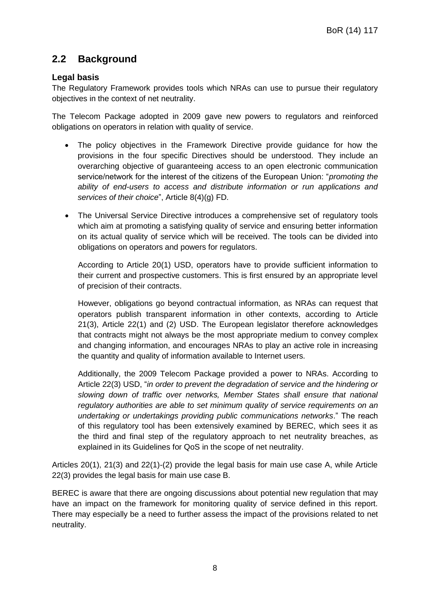## <span id="page-7-0"></span>**2.2 Background**

## **Legal basis**

The Regulatory Framework provides tools which NRAs can use to pursue their regulatory objectives in the context of net neutrality.

The Telecom Package adopted in 2009 gave new powers to regulators and reinforced obligations on operators in relation with quality of service.

- The policy objectives in the Framework Directive provide guidance for how the provisions in the four specific Directives should be understood. They include an overarching objective of guaranteeing access to an open electronic communication service/network for the interest of the citizens of the European Union: "*promoting the ability of end-users to access and distribute information or run applications and services of their choice*", Article 8(4)(g) FD.
- The Universal Service Directive introduces a comprehensive set of regulatory tools which aim at promoting a satisfying quality of service and ensuring better information on its actual quality of service which will be received. The tools can be divided into obligations on operators and powers for regulators.

According to Article 20(1) USD, operators have to provide sufficient information to their current and prospective customers. This is first ensured by an appropriate level of precision of their contracts.

However, obligations go beyond contractual information, as NRAs can request that operators publish transparent information in other contexts, according to Article 21(3), Article 22(1) and (2) USD. The European legislator therefore acknowledges that contracts might not always be the most appropriate medium to convey complex and changing information, and encourages NRAs to play an active role in increasing the quantity and quality of information available to Internet users.

Additionally, the 2009 Telecom Package provided a power to NRAs. According to Article 22(3) USD, "*in order to prevent the degradation of service and the hindering or slowing down of traffic over networks, Member States shall ensure that national regulatory authorities are able to set minimum quality of service requirements on an undertaking or undertakings providing public communications networks*." The reach of this regulatory tool has been extensively examined by BEREC, which sees it as the third and final step of the regulatory approach to net neutrality breaches, as explained in its Guidelines for QoS in the scope of net neutrality.

Articles 20(1), 21(3) and 22(1)-(2) provide the legal basis for main use case A, while Article 22(3) provides the legal basis for main use case B.

BEREC is aware that there are ongoing discussions about potential new regulation that may have an impact on the framework for monitoring quality of service defined in this report. There may especially be a need to further assess the impact of the provisions related to net neutrality.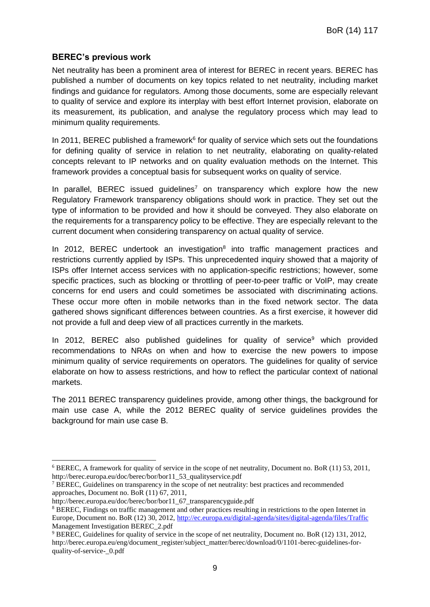#### **BEREC's previous work**

Net neutrality has been a prominent area of interest for BEREC in recent years. BEREC has published a number of documents on key topics related to net neutrality, including market findings and guidance for regulators. Among those documents, some are especially relevant to quality of service and explore its interplay with best effort Internet provision, elaborate on its measurement, its publication, and analyse the regulatory process which may lead to minimum quality requirements.

In 2011, BEREC published a framework $6$  for quality of service which sets out the foundations for defining quality of service in relation to net neutrality, elaborating on quality-related concepts relevant to IP networks and on quality evaluation methods on the Internet. This framework provides a conceptual basis for subsequent works on quality of service.

In parallel, BEREC issued quidelines<sup>7</sup> on transparency which explore how the new Regulatory Framework transparency obligations should work in practice. They set out the type of information to be provided and how it should be conveyed. They also elaborate on the requirements for a transparency policy to be effective. They are especially relevant to the current document when considering transparency on actual quality of service.

In 2012, BEREC undertook an investigation<sup>8</sup> into traffic management practices and restrictions currently applied by ISPs. This unprecedented inquiry showed that a majority of ISPs offer Internet access services with no application-specific restrictions; however, some specific practices, such as blocking or throttling of peer-to-peer traffic or VoIP, may create concerns for end users and could sometimes be associated with discriminating actions. These occur more often in mobile networks than in the fixed network sector. The data gathered shows significant differences between countries. As a first exercise, it however did not provide a full and deep view of all practices currently in the markets.

In 2012, BEREC also published guidelines for quality of service<sup>9</sup> which provided recommendations to NRAs on when and how to exercise the new powers to impose minimum quality of service requirements on operators. The guidelines for quality of service elaborate on how to assess restrictions, and how to reflect the particular context of national markets.

The 2011 BEREC transparency guidelines provide, among other things, the background for main use case A, while the 2012 BEREC quality of service guidelines provides the background for main use case B.

-

<sup>6</sup> BEREC, A framework for quality of service in the scope of net neutrality, Document no. BoR (11) 53, 2011, http://berec.europa.eu/doc/berec/bor/bor11\_53\_qualityservice.pdf

<sup>&</sup>lt;sup>7</sup> BEREC, Guidelines on transparency in the scope of net neutrality: best practices and recommended approaches, Document no. BoR (11) 67, 2011,

http://berec.europa.eu/doc/berec/bor/bor11\_67\_transparencyguide.pdf

<sup>8</sup> BEREC, Findings on traffic management and other practices resulting in restrictions to the open Internet in Europe, Document no. BoR (12) 30, 2012,<http://ec.europa.eu/digital-agenda/sites/digital-agenda/files/Traffic> Management Investigation BEREC\_2.pdf

<sup>9</sup> BEREC, Guidelines for quality of service in the scope of net neutrality, Document no. BoR (12) 131, 2012, http://berec.europa.eu/eng/document\_register/subject\_matter/berec/download/0/1101-berec-guidelines-forquality-of-service-\_0.pdf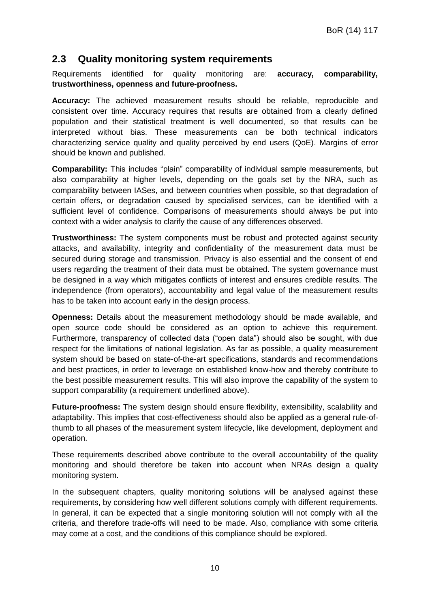## <span id="page-9-0"></span>**2.3 Quality monitoring system requirements**

Requirements identified for quality monitoring are: **accuracy, comparability, trustworthiness, openness and future-proofness.**

**Accuracy:** The achieved measurement results should be reliable, reproducible and consistent over time. Accuracy requires that results are obtained from a clearly defined population and their statistical treatment is well documented, so that results can be interpreted without bias. These measurements can be both technical indicators characterizing service quality and quality perceived by end users (QoE). Margins of error should be known and published.

**Comparability:** This includes "plain" comparability of individual sample measurements, but also comparability at higher levels, depending on the goals set by the NRA, such as comparability between IASes, and between countries when possible, so that degradation of certain offers, or degradation caused by specialised services, can be identified with a sufficient level of confidence. Comparisons of measurements should always be put into context with a wider analysis to clarify the cause of any differences observed.

**Trustworthiness:** The system components must be robust and protected against security attacks, and availability, integrity and confidentiality of the measurement data must be secured during storage and transmission. Privacy is also essential and the consent of end users regarding the treatment of their data must be obtained. The system governance must be designed in a way which mitigates conflicts of interest and ensures credible results. The independence (from operators), accountability and legal value of the measurement results has to be taken into account early in the design process.

**Openness:** Details about the measurement methodology should be made available, and open source code should be considered as an option to achieve this requirement. Furthermore, transparency of collected data ("open data") should also be sought, with due respect for the limitations of national legislation. As far as possible, a quality measurement system should be based on state-of-the-art specifications, standards and recommendations and best practices, in order to leverage on established know-how and thereby contribute to the best possible measurement results. This will also improve the capability of the system to support comparability (a requirement underlined above).

**Future-proofness:** The system design should ensure flexibility, extensibility, scalability and adaptability. This implies that cost-effectiveness should also be applied as a general rule-ofthumb to all phases of the measurement system lifecycle, like development, deployment and operation.

These requirements described above contribute to the overall accountability of the quality monitoring and should therefore be taken into account when NRAs design a quality monitoring system.

In the subsequent chapters, quality monitoring solutions will be analysed against these requirements, by considering how well different solutions comply with different requirements. In general, it can be expected that a single monitoring solution will not comply with all the criteria, and therefore trade-offs will need to be made. Also, compliance with some criteria may come at a cost, and the conditions of this compliance should be explored.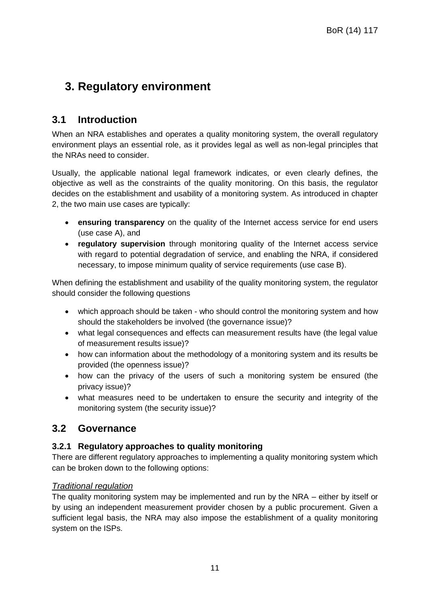## <span id="page-10-0"></span>**3. Regulatory environment**

## <span id="page-10-1"></span>**3.1 Introduction**

When an NRA establishes and operates a quality monitoring system, the overall regulatory environment plays an essential role, as it provides legal as well as non-legal principles that the NRAs need to consider.

Usually, the applicable national legal framework indicates, or even clearly defines, the objective as well as the constraints of the quality monitoring. On this basis, the regulator decides on the establishment and usability of a monitoring system. As introduced in chapter 2, the two main use cases are typically:

- **ensuring transparency** on the quality of the Internet access service for end users (use case A), and
- **regulatory supervision** through monitoring quality of the Internet access service with regard to potential degradation of service, and enabling the NRA, if considered necessary, to impose minimum quality of service requirements (use case B).

When defining the establishment and usability of the quality monitoring system, the regulator should consider the following questions

- which approach should be taken who should control the monitoring system and how should the stakeholders be involved (the governance issue)?
- what legal consequences and effects can measurement results have (the legal value of measurement results issue)?
- how can information about the methodology of a monitoring system and its results be provided (the openness issue)?
- how can the privacy of the users of such a monitoring system be ensured (the privacy issue)?
- what measures need to be undertaken to ensure the security and integrity of the monitoring system (the security issue)?

## <span id="page-10-2"></span>**3.2 Governance**

## **3.2.1 Regulatory approaches to quality monitoring**

There are different regulatory approaches to implementing a quality monitoring system which can be broken down to the following options:

## *Traditional regulation*

The quality monitoring system may be implemented and run by the NRA – either by itself or by using an independent measurement provider chosen by a public procurement. Given a sufficient legal basis, the NRA may also impose the establishment of a quality monitoring system on the ISPs.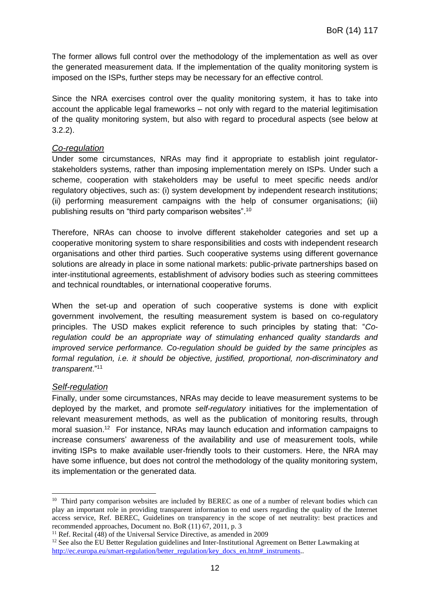The former allows full control over the methodology of the implementation as well as over the generated measurement data. If the implementation of the quality monitoring system is imposed on the ISPs, further steps may be necessary for an effective control.

Since the NRA exercises control over the quality monitoring system, it has to take into account the applicable legal frameworks – not only with regard to the material legitimisation of the quality monitoring system, but also with regard to procedural aspects (see below at 3.2.2).

#### *Co-regulation*

Under some circumstances, NRAs may find it appropriate to establish joint regulatorstakeholders systems, rather than imposing implementation merely on ISPs. Under such a scheme, cooperation with stakeholders may be useful to meet specific needs and/or regulatory objectives, such as: (i) system development by independent research institutions; (ii) performing measurement campaigns with the help of consumer organisations; (iii) publishing results on "third party comparison websites".<sup>10</sup>

Therefore, NRAs can choose to involve different stakeholder categories and set up a cooperative monitoring system to share responsibilities and costs with independent research organisations and other third parties. Such cooperative systems using different governance solutions are already in place in some national markets: public-private partnerships based on inter-institutional agreements, establishment of advisory bodies such as steering committees and technical roundtables, or international cooperative forums.

When the set-up and operation of such cooperative systems is done with explicit government involvement, the resulting measurement system is based on co-regulatory principles. The USD makes explicit reference to such principles by stating that: "*Co*regulation could be an appropriate way of stimulating enhanced quality standards and *improved service performance. Co-regulation should be guided by the same principles as formal regulation, i.e. it should be objective, justified, proportional, non-discriminatory and transparent*."<sup>11</sup>

#### *Self-regulation*

-

Finally, under some circumstances, NRAs may decide to leave measurement systems to be deployed by the market, and promote *self-regulatory* initiatives for the implementation of relevant measurement methods, as well as the publication of monitoring results, through moral suasion.<sup>12</sup> For instance, NRAs may launch education and information campaigns to increase consumers' awareness of the availability and use of measurement tools, while inviting ISPs to make available user-friendly tools to their customers. Here, the NRA may have some influence, but does not control the methodology of the quality monitoring system, its implementation or the generated data.

<sup>&</sup>lt;sup>10</sup> Third party comparison websites are included by BEREC as one of a number of relevant bodies which can play an important role in providing transparent information to end users regarding the quality of the Internet access service, Ref. BEREC, Guidelines on transparency in the scope of net neutrality: best practices and recommended approaches, Document no. BoR (11) 67, 2011, p. 3

<sup>&</sup>lt;sup>11</sup> Ref. Recital  $(48)$  of the Universal Service Directive, as amended in 2009

<sup>&</sup>lt;sup>12</sup> See also the EU Better Regulation guidelines and Inter-Institutional Agreement on Better Lawmaking at [http://ec.europa.eu/smart-regulation/better\\_regulation/key\\_docs\\_en.htm#\\_instruments.](http://ec.europa.eu/smart-regulation/better_regulation/key_docs_en.htm#_instruments).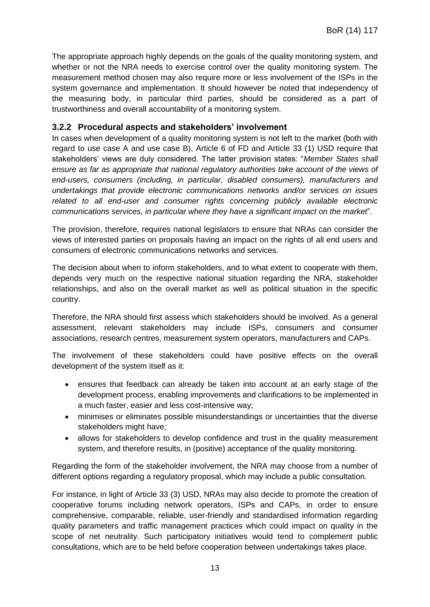The appropriate approach highly depends on the goals of the quality monitoring system, and whether or not the NRA needs to exercise control over the quality monitoring system. The measurement method chosen may also require more or less involvement of the ISPs in the system governance and implementation. It should however be noted that independency of the measuring body, in particular third parties, should be considered as a part of trustworthiness and overall accountability of a monitoring system.

## **3.2.2 Procedural aspects and stakeholders' involvement**

In cases when development of a quality monitoring system is not left to the market (both with regard to use case A and use case B), Article 6 of FD and Article 33 (1) USD require that stakeholders' views are duly considered. The latter provision states: "*Member States shall ensure as far as appropriate that national regulatory authorities take account of the views of end-users, consumers (including, in particular, disabled consumers), manufacturers and undertakings that provide electronic communications networks and/or services on issues related to all end-user and consumer rights concerning publicly available electronic communications services, in particular where they have a significant impact on the market*".

The provision, therefore, requires national legislators to ensure that NRAs can consider the views of interested parties on proposals having an impact on the rights of all end users and consumers of electronic communications networks and services.

The decision about when to inform stakeholders, and to what extent to cooperate with them, depends very much on the respective national situation regarding the NRA, stakeholder relationships, and also on the overall market as well as political situation in the specific country.

Therefore, the NRA should first assess which stakeholders should be involved. As a general assessment, relevant stakeholders may include ISPs, consumers and consumer associations, research centres, measurement system operators, manufacturers and CAPs.

The involvement of these stakeholders could have positive effects on the overall development of the system itself as it:

- ensures that feedback can already be taken into account at an early stage of the development process, enabling improvements and clarifications to be implemented in a much faster, easier and less cost-intensive way;
- minimises or eliminates possible misunderstandings or uncertainties that the diverse stakeholders might have;
- allows for stakeholders to develop confidence and trust in the quality measurement system, and therefore results, in (positive) acceptance of the quality monitoring.

Regarding the form of the stakeholder involvement, the NRA may choose from a number of different options regarding a regulatory proposal, which may include a public consultation.

For instance, in light of Article 33 (3) USD, NRAs may also decide to promote the creation of cooperative forums including network operators, ISPs and CAPs, in order to ensure comprehensive, comparable, reliable, user-friendly and standardised information regarding quality parameters and traffic management practices which could impact on quality in the scope of net neutrality. Such participatory initiatives would tend to complement public consultations, which are to be held before cooperation between undertakings takes place.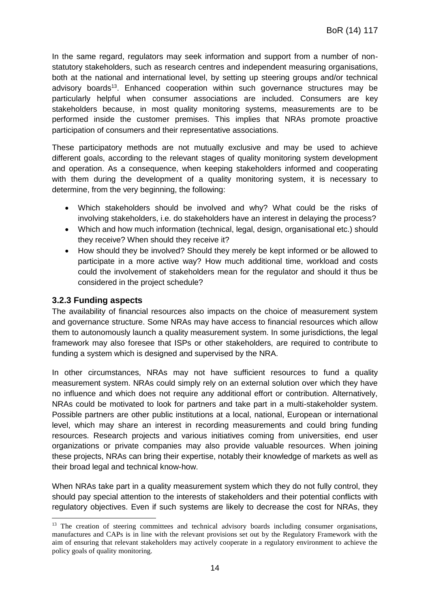In the same regard, regulators may seek information and support from a number of nonstatutory stakeholders, such as research centres and independent measuring organisations, both at the national and international level, by setting up steering groups and/or technical advisory boards<sup>13</sup>. Enhanced cooperation within such governance structures may be particularly helpful when consumer associations are included. Consumers are key stakeholders because, in most quality monitoring systems, measurements are to be performed inside the customer premises. This implies that NRAs promote proactive participation of consumers and their representative associations.

These participatory methods are not mutually exclusive and may be used to achieve different goals, according to the relevant stages of quality monitoring system development and operation. As a consequence, when keeping stakeholders informed and cooperating with them during the development of a quality monitoring system, it is necessary to determine, from the very beginning, the following:

- Which stakeholders should be involved and why? What could be the risks of involving stakeholders, i.e. do stakeholders have an interest in delaying the process?
- Which and how much information (technical, legal, design, organisational etc.) should they receive? When should they receive it?
- How should they be involved? Should they merely be kept informed or be allowed to participate in a more active way? How much additional time, workload and costs could the involvement of stakeholders mean for the regulator and should it thus be considered in the project schedule?

### **3.2.3 Funding aspects**

-

The availability of financial resources also impacts on the choice of measurement system and governance structure. Some NRAs may have access to financial resources which allow them to autonomously launch a quality measurement system. In some jurisdictions, the legal framework may also foresee that ISPs or other stakeholders, are required to contribute to funding a system which is designed and supervised by the NRA.

In other circumstances, NRAs may not have sufficient resources to fund a quality measurement system. NRAs could simply rely on an external solution over which they have no influence and which does not require any additional effort or contribution. Alternatively, NRAs could be motivated to look for partners and take part in a multi-stakeholder system. Possible partners are other public institutions at a local, national, European or international level, which may share an interest in recording measurements and could bring funding resources. Research projects and various initiatives coming from universities, end user organizations or private companies may also provide valuable resources. When joining these projects, NRAs can bring their expertise, notably their knowledge of markets as well as their broad legal and technical know-how.

When NRAs take part in a quality measurement system which they do not fully control, they should pay special attention to the interests of stakeholders and their potential conflicts with regulatory objectives. Even if such systems are likely to decrease the cost for NRAs, they

<sup>&</sup>lt;sup>13</sup> The creation of steering committees and technical advisory boards including consumer organisations, manufactures and CAPs is in line with the relevant provisions set out by the Regulatory Framework with the aim of ensuring that relevant stakeholders may actively cooperate in a regulatory environment to achieve the policy goals of quality monitoring.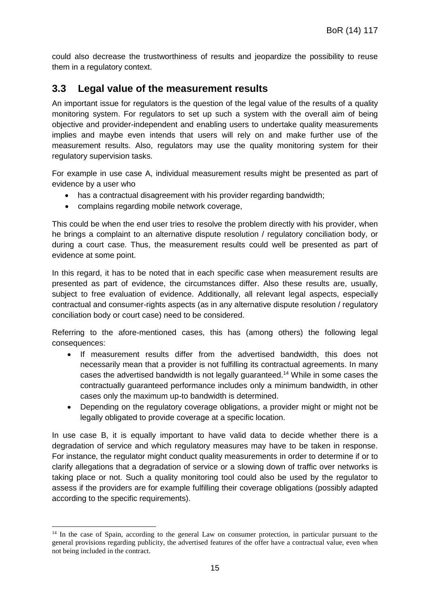could also decrease the trustworthiness of results and jeopardize the possibility to reuse them in a regulatory context.

## <span id="page-14-0"></span>**3.3 Legal value of the measurement results**

An important issue for regulators is the question of the legal value of the results of a quality monitoring system. For regulators to set up such a system with the overall aim of being objective and provider-independent and enabling users to undertake quality measurements implies and maybe even intends that users will rely on and make further use of the measurement results. Also, regulators may use the quality monitoring system for their regulatory supervision tasks.

For example in use case A, individual measurement results might be presented as part of evidence by a user who

- has a contractual disagreement with his provider regarding bandwidth;
- complains regarding mobile network coverage,

-

This could be when the end user tries to resolve the problem directly with his provider, when he brings a complaint to an alternative dispute resolution / regulatory conciliation body, or during a court case. Thus, the measurement results could well be presented as part of evidence at some point.

In this regard, it has to be noted that in each specific case when measurement results are presented as part of evidence, the circumstances differ. Also these results are, usually, subject to free evaluation of evidence. Additionally, all relevant legal aspects, especially contractual and consumer-rights aspects (as in any alternative dispute resolution / regulatory conciliation body or court case) need to be considered.

Referring to the afore-mentioned cases, this has (among others) the following legal consequences:

- If measurement results differ from the advertised bandwidth, this does not necessarily mean that a provider is not fulfilling its contractual agreements. In many cases the advertised bandwidth is not legally guaranteed. <sup>14</sup> While in some cases the contractually guaranteed performance includes only a minimum bandwidth, in other cases only the maximum up-to bandwidth is determined.
- Depending on the regulatory coverage obligations, a provider might or might not be legally obligated to provide coverage at a specific location.

In use case B, it is equally important to have valid data to decide whether there is a degradation of service and which regulatory measures may have to be taken in response. For instance, the regulator might conduct quality measurements in order to determine if or to clarify allegations that a degradation of service or a slowing down of traffic over networks is taking place or not. Such a quality monitoring tool could also be used by the regulator to assess if the providers are for example fulfilling their coverage obligations (possibly adapted according to the specific requirements).

<sup>&</sup>lt;sup>14</sup> In the case of Spain, according to the general Law on consumer protection, in particular pursuant to the general provisions regarding publicity, the advertised features of the offer have a contractual value, even when not being included in the contract.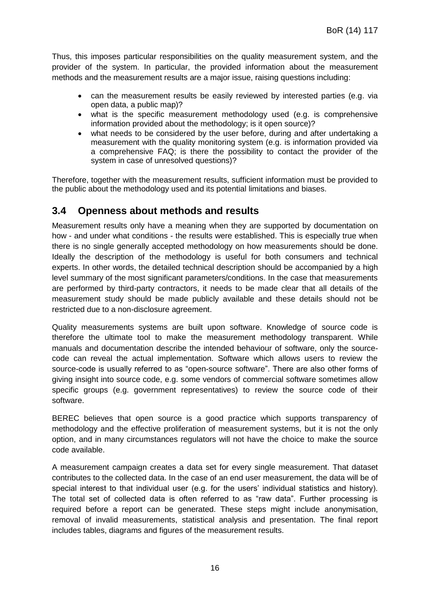Thus, this imposes particular responsibilities on the quality measurement system, and the provider of the system. In particular, the provided information about the measurement methods and the measurement results are a major issue, raising questions including:

- can the measurement results be easily reviewed by interested parties (e.g. via open data, a public map)?
- what is the specific measurement methodology used (e.g. is comprehensive information provided about the methodology; is it open source)?
- what needs to be considered by the user before, during and after undertaking a measurement with the quality monitoring system (e.g. is information provided via a comprehensive FAQ; is there the possibility to contact the provider of the system in case of unresolved questions)?

Therefore, together with the measurement results, sufficient information must be provided to the public about the methodology used and its potential limitations and biases.

## <span id="page-15-0"></span>**3.4 Openness about methods and results**

Measurement results only have a meaning when they are supported by documentation on how - and under what conditions - the results were established. This is especially true when there is no single generally accepted methodology on how measurements should be done. Ideally the description of the methodology is useful for both consumers and technical experts. In other words, the detailed technical description should be accompanied by a high level summary of the most significant parameters/conditions. In the case that measurements are performed by third-party contractors, it needs to be made clear that all details of the measurement study should be made publicly available and these details should not be restricted due to a non-disclosure agreement.

Quality measurements systems are built upon software. Knowledge of source code is therefore the ultimate tool to make the measurement methodology transparent. While manuals and documentation describe the intended behaviour of software, only the sourcecode can reveal the actual implementation. Software which allows users to review the source-code is usually referred to as "open-source software". There are also other forms of giving insight into source code, e.g. some vendors of commercial software sometimes allow specific groups (e.g. government representatives) to review the source code of their software.

BEREC believes that open source is a good practice which supports transparency of methodology and the effective proliferation of measurement systems, but it is not the only option, and in many circumstances regulators will not have the choice to make the source code available.

A measurement campaign creates a data set for every single measurement. That dataset contributes to the collected data. In the case of an end user measurement, the data will be of special interest to that individual user (e.g. for the users' individual statistics and history). The total set of collected data is often referred to as "raw data". Further processing is required before a report can be generated. These steps might include anonymisation, removal of invalid measurements, statistical analysis and presentation. The final report includes tables, diagrams and figures of the measurement results.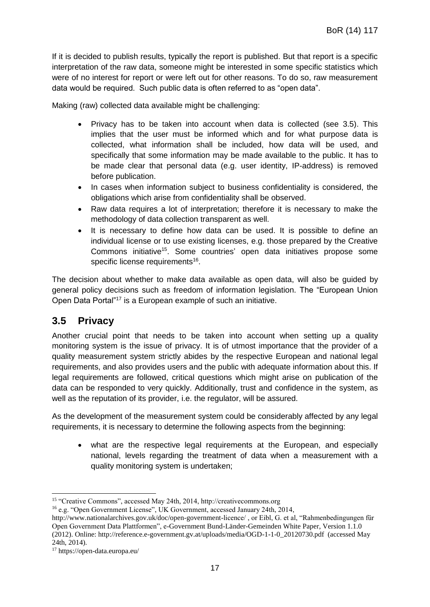If it is decided to publish results, typically the report is published. But that report is a specific interpretation of the raw data, someone might be interested in some specific statistics which were of no interest for report or were left out for other reasons. To do so, raw measurement data would be required. Such public data is often referred to as "open data".

Making (raw) collected data available might be challenging:

- Privacy has to be taken into account when data is collected (see 3.5). This implies that the user must be informed which and for what purpose data is collected, what information shall be included, how data will be used, and specifically that some information may be made available to the public. It has to be made clear that personal data (e.g. user identity, IP-address) is removed before publication.
- In cases when information subject to business confidentiality is considered, the obligations which arise from confidentiality shall be observed.
- Raw data requires a lot of interpretation; therefore it is necessary to make the methodology of data collection transparent as well.
- It is necessary to define how data can be used. It is possible to define an individual license or to use existing licenses, e.g. those prepared by the Creative Commons initiative<sup>15</sup>. Some countries' open data initiatives propose some specific license requirements<sup>16</sup>.

The decision about whether to make data available as open data, will also be guided by general policy decisions such as freedom of information legislation. The "European Union Open Data Portal"<sup>17</sup> is a European example of such an initiative.

## <span id="page-16-0"></span>**3.5 Privacy**

Another crucial point that needs to be taken into account when setting up a quality monitoring system is the issue of privacy. It is of utmost importance that the provider of a quality measurement system strictly abides by the respective European and national legal requirements, and also provides users and the public with adequate information about this. If legal requirements are followed, critical questions which might arise on publication of the data can be responded to very quickly. Additionally, trust and confidence in the system, as well as the reputation of its provider, i.e. the regulator, will be assured.

As the development of the measurement system could be considerably affected by any legal requirements, it is necessary to determine the following aspects from the beginning:

 what are the respective legal requirements at the European, and especially national, levels regarding the treatment of data when a measurement with a quality monitoring system is undertaken;

-

<sup>15</sup> "Creative Commons", accessed May 24th, 2014, http://creativecommons.org

<sup>16</sup> e.g. "Open Government License", UK Government, accessed January 24th, 2014,

http://www.nationalarchives.gov.uk/doc/open-government-licence/ , or Eibl, G. et al, "Rahmenbedingungen für Open Government Data Plattformen", e-Government Bund-Länder-Gemeinden White Paper, Version 1.1.0 (2012). Online: http://reference.e-government.gv.at/uploads/media/OGD-1-1-0\_20120730.pdf (accessed May 24th, 2014).

<sup>17</sup> https://open-data.europa.eu/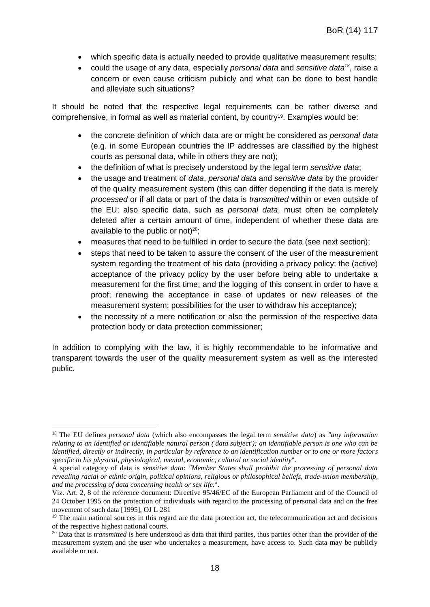- which specific data is actually needed to provide qualitative measurement results;
- could the usage of any data, especially *personal data* and *sensitive data<sup>18</sup>*, raise a concern or even cause criticism publicly and what can be done to best handle and alleviate such situations?

It should be noted that the respective legal requirements can be rather diverse and comprehensive, in formal as well as material content, by country19. Examples would be:

- the concrete definition of which data are or might be considered as *personal data* (e.g. in some European countries the IP addresses are classified by the highest courts as personal data, while in others they are not);
- the definition of what is precisely understood by the legal term *sensitive data*;
- the usage and treatment of *data*, *personal data* and *sensitive data* by the provider of the quality measurement system (this can differ depending if the data is merely *processed* or if all data or part of the data is *transmitted* within or even outside of the EU; also specific data, such as *personal data*, must often be completely deleted after a certain amount of time, independent of whether these data are available to the public or not) $20$ ;
- measures that need to be fulfilled in order to secure the data (see next section);
- steps that need to be taken to assure the consent of the user of the measurement system regarding the treatment of his data (providing a privacy policy; the (active) acceptance of the privacy policy by the user before being able to undertake a measurement for the first time; and the logging of this consent in order to have a proof; renewing the acceptance in case of updates or new releases of the measurement system; possibilities for the user to withdraw his acceptance);
- the necessity of a mere notification or also the permission of the respective data protection body or data protection commissioner;

In addition to complying with the law, it is highly recommendable to be informative and transparent towards the user of the quality measurement system as well as the interested public.

<sup>-</sup><sup>18</sup> The EU defines *personal data* (which also encompasses the legal term *sensitive data*) as "any information *relating to an identified or identifiable natural person ('data subject'); an identifiable person is one who can be identified, directly or indirectly, in particular by reference to an identification number or to one or more factors*  specific to his physical, physiological, mental, economic, cultural or social identity".

A special category of data is *sensitive data*: *ʺMember States shall prohibit the processing of personal data revealing racial or ethnic origin, political opinions, religious or philosophical beliefs, trade-union membership, and the processing of data concerning health or sex life.".* 

Viz. Art. 2, 8 of the reference document: Directive 95/46/EC of the European Parliament and of the Council of 24 October 1995 on the protection of individuals with regard to the processing of personal data and on the free movement of such data [1995], OJ L 281

 $19$  The main national sources in this regard are the data protection act, the telecommunication act and decisions of the respective highest national courts.

<sup>&</sup>lt;sup>20</sup> Data that is *transmitted* is here understood as data that third parties, thus parties other than the provider of the measurement system and the user who undertakes a measurement, have access to. Such data may be publicly available or not.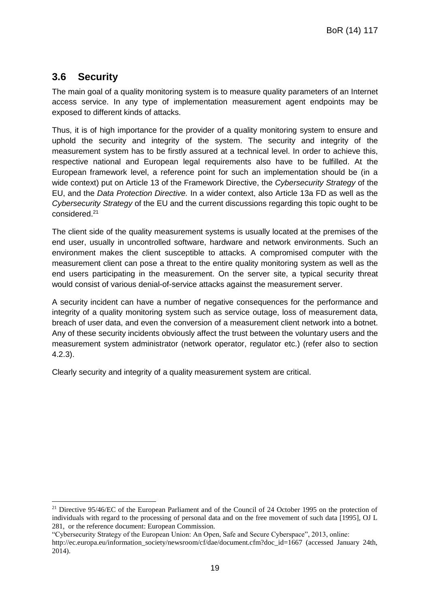## <span id="page-18-0"></span>**3.6 Security**

-

The main goal of a quality monitoring system is to measure quality parameters of an Internet access service. In any type of implementation measurement agent endpoints may be exposed to different kinds of attacks.

Thus, it is of high importance for the provider of a quality monitoring system to ensure and uphold the security and integrity of the system. The security and integrity of the measurement system has to be firstly assured at a technical level. In order to achieve this, respective national and European legal requirements also have to be fulfilled. At the European framework level, a reference point for such an implementation should be (in a wide context) put on Article 13 of the Framework Directive, the *Cybersecurity Strategy* of the EU, and the *Data Protection Directive.* In a wider context, also Article 13a FD as well as the *Cybersecurity Strategy* of the EU and the current discussions regarding this topic ought to be considered.<sup>21</sup>

The client side of the quality measurement systems is usually located at the premises of the end user, usually in uncontrolled software, hardware and network environments. Such an environment makes the client susceptible to attacks. A compromised computer with the measurement client can pose a threat to the entire quality monitoring system as well as the end users participating in the measurement. On the server site, a typical security threat would consist of various denial-of-service attacks against the measurement server.

A security incident can have a number of negative consequences for the performance and integrity of a quality monitoring system such as service outage, loss of measurement data, breach of user data, and even the conversion of a measurement client network into a botnet. Any of these security incidents obviously affect the trust between the voluntary users and the measurement system administrator (network operator, regulator etc.) (refer also to section 4.2.3).

Clearly security and integrity of a quality measurement system are critical.

<sup>&</sup>lt;sup>21</sup> Directive 95/46/EC of the European Parliament and of the Council of 24 October 1995 on the protection of individuals with regard to the processing of personal data and on the free movement of such data [1995], OJ L 281, or the reference document: European Commission.

<sup>&</sup>quot;Cybersecurity Strategy of the European Union: An Open, Safe and Secure Cyberspace", 2013, online:

http://ec.europa.eu/information\_society/newsroom/cf/dae/document.cfm?doc\_id=1667 (accessed January 24th, 2014).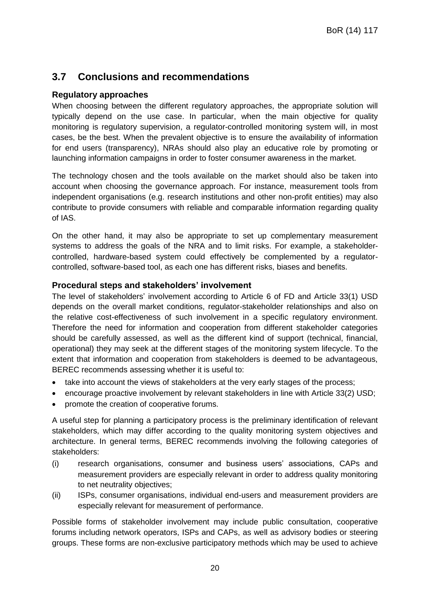## <span id="page-19-0"></span>**3.7 Conclusions and recommendations**

## **Regulatory approaches**

When choosing between the different regulatory approaches, the appropriate solution will typically depend on the use case. In particular, when the main objective for quality monitoring is regulatory supervision, a regulator-controlled monitoring system will, in most cases, be the best. When the prevalent objective is to ensure the availability of information for end users (transparency), NRAs should also play an educative role by promoting or launching information campaigns in order to foster consumer awareness in the market.

The technology chosen and the tools available on the market should also be taken into account when choosing the governance approach. For instance, measurement tools from independent organisations (e.g. research institutions and other non-profit entities) may also contribute to provide consumers with reliable and comparable information regarding quality of IAS.

On the other hand, it may also be appropriate to set up complementary measurement systems to address the goals of the NRA and to limit risks. For example, a stakeholdercontrolled, hardware-based system could effectively be complemented by a regulatorcontrolled, software-based tool, as each one has different risks, biases and benefits.

## **Procedural steps and stakeholders' involvement**

The level of stakeholders' involvement according to Article 6 of FD and Article 33(1) USD depends on the overall market conditions, regulator-stakeholder relationships and also on the relative cost-effectiveness of such involvement in a specific regulatory environment. Therefore the need for information and cooperation from different stakeholder categories should be carefully assessed, as well as the different kind of support (technical, financial, operational) they may seek at the different stages of the monitoring system lifecycle. To the extent that information and cooperation from stakeholders is deemed to be advantageous, BEREC recommends assessing whether it is useful to:

- take into account the views of stakeholders at the very early stages of the process;
- encourage proactive involvement by relevant stakeholders in line with Article 33(2) USD;
- promote the creation of cooperative forums.

A useful step for planning a participatory process is the preliminary identification of relevant stakeholders, which may differ according to the quality monitoring system objectives and architecture. In general terms, BEREC recommends involving the following categories of stakeholders:

- (i) research organisations, consumer and business users' associations, CAPs and measurement providers are especially relevant in order to address quality monitoring to net neutrality objectives;
- (ii) ISPs, consumer organisations, individual end-users and measurement providers are especially relevant for measurement of performance.

Possible forms of stakeholder involvement may include public consultation, cooperative forums including network operators, ISPs and CAPs, as well as advisory bodies or steering groups. These forms are non-exclusive participatory methods which may be used to achieve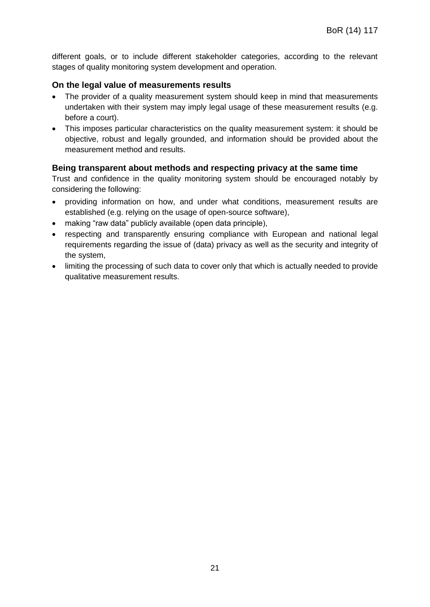different goals, or to include different stakeholder categories, according to the relevant stages of quality monitoring system development and operation.

#### **On the legal value of measurements results**

- The provider of a quality measurement system should keep in mind that measurements undertaken with their system may imply legal usage of these measurement results (e.g. before a court).
- This imposes particular characteristics on the quality measurement system: it should be objective, robust and legally grounded, and information should be provided about the measurement method and results.

### **Being transparent about methods and respecting privacy at the same time**

Trust and confidence in the quality monitoring system should be encouraged notably by considering the following:

- providing information on how, and under what conditions, measurement results are established (e.g. relying on the usage of open-source software),
- making "raw data" publicly available (open data principle),
- respecting and transparently ensuring compliance with European and national legal requirements regarding the issue of (data) privacy as well as the security and integrity of the system,
- limiting the processing of such data to cover only that which is actually needed to provide qualitative measurement results.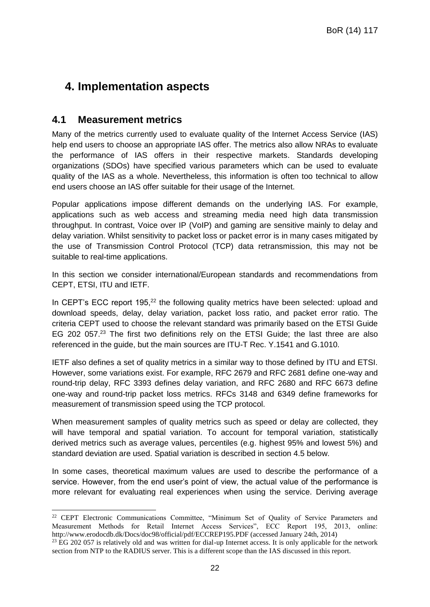## <span id="page-21-0"></span>**4. Implementation aspects**

## <span id="page-21-1"></span>**4.1 Measurement metrics**

-

Many of the metrics currently used to evaluate quality of the Internet Access Service (IAS) help end users to choose an appropriate IAS offer. The metrics also allow NRAs to evaluate the performance of IAS offers in their respective markets. Standards developing organizations (SDOs) have specified various parameters which can be used to evaluate quality of the IAS as a whole. Nevertheless, this information is often too technical to allow end users choose an IAS offer suitable for their usage of the Internet.

Popular applications impose different demands on the underlying IAS. For example, applications such as web access and streaming media need high data transmission throughput. In contrast, Voice over IP (VoIP) and gaming are sensitive mainly to delay and delay variation. Whilst sensitivity to packet loss or packet error is in many cases mitigated by the use of Transmission Control Protocol (TCP) data retransmission, this may not be suitable to real-time applications.

In this section we consider international/European standards and recommendations from CEPT, ETSI, ITU and IETF.

In CEPT's ECC report 195,<sup>22</sup> the following quality metrics have been selected: upload and download speeds, delay, delay variation, packet loss ratio, and packet error ratio. The criteria CEPT used to choose the relevant standard was primarily based on the ETSI Guide EG 202 057.<sup>23</sup> The first two definitions rely on the ETSI Guide; the last three are also referenced in the guide, but the main sources are ITU-T Rec. Y.1541 and G.1010.

IETF also defines a set of quality metrics in a similar way to those defined by ITU and ETSI. However, some variations exist. For example, RFC 2679 and RFC 2681 define one-way and round-trip delay, RFC 3393 defines delay variation, and RFC 2680 and RFC 6673 define one-way and round-trip packet loss metrics. RFCs 3148 and 6349 define frameworks for measurement of transmission speed using the TCP protocol.

When measurement samples of quality metrics such as speed or delay are collected, they will have temporal and spatial variation. To account for temporal variation, statistically derived metrics such as average values, percentiles (e.g. highest 95% and lowest 5%) and standard deviation are used. Spatial variation is described in section 4.5 below.

In some cases, theoretical maximum values are used to describe the performance of a service. However, from the end user's point of view, the actual value of the performance is more relevant for evaluating real experiences when using the service. Deriving average

<sup>&</sup>lt;sup>22</sup> CEPT Electronic Communications Committee, "Minimum Set of Quality of Service Parameters and Measurement Methods for Retail Internet Access Services", ECC Report 195, 2013, online: http://www.erodocdb.dk/Docs/doc98/official/pdf/ECCREP195.PDF (accessed January 24th, 2014)

<sup>&</sup>lt;sup>23</sup> EG 202 057 is relatively old and was written for dial-up Internet access. It is only applicable for the network section from NTP to the RADIUS server. This is a different scope than the IAS discussed in this report.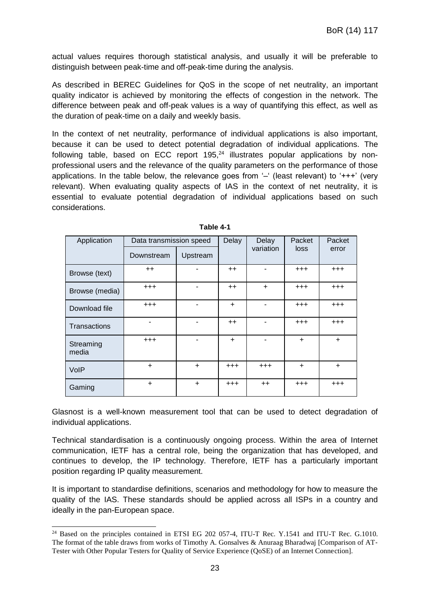actual values requires thorough statistical analysis, and usually it will be preferable to distinguish between peak-time and off-peak-time during the analysis.

As described in BEREC Guidelines for QoS in the scope of net neutrality, an important quality indicator is achieved by monitoring the effects of congestion in the network. The difference between peak and off-peak values is a way of quantifying this effect, as well as the duration of peak-time on a daily and weekly basis.

In the context of net neutrality, performance of individual applications is also important, because it can be used to detect potential degradation of individual applications. The following table, based on ECC report  $195<sup>24</sup>$  illustrates popular applications by nonprofessional users and the relevance of the quality parameters on the performance of those applications. In the table below, the relevance goes from '–' (least relevant) to '+++' (very relevant). When evaluating quality aspects of IAS in the context of net neutrality, it is essential to evaluate potential degradation of individual applications based on such considerations.

| Application        | Data transmission speed |           | Delay     | Delay     | Packet    | Packet    |
|--------------------|-------------------------|-----------|-----------|-----------|-----------|-----------|
|                    | Downstream              | Upstream  |           | variation | loss      | error     |
| Browse (text)      | $++$                    |           | $++$      |           | $^{+++}$  | $^{+++}$  |
| Browse (media)     | $^{+++}$                |           | $++$      | $\ddot{}$ | $^{+++}$  | $^{+++}$  |
| Download file      | $^{+++}$                |           | $\ddot{}$ |           | $^{+++}$  | $^{+++}$  |
| Transactions       |                         |           | $++$      |           | $^{+++}$  | $^{+++}$  |
| Streaming<br>media | $^{+++}$                |           | $\ddot{}$ |           | $\ddot{}$ | $\ddot{}$ |
| VolP               | $\ddot{}$               | $\ddot{}$ | $^{+++}$  | $^{+++}$  | $+$       | $\ddot{}$ |
| Gaming             | $\ddot{}$               | $\ddot{}$ | $^{+++}$  | $++$      | $^{+++}$  | $^{+++}$  |

**Table 4-1**

Glasnost is a well-known measurement tool that can be used to detect degradation of individual applications.

Technical standardisation is a continuously ongoing process. Within the area of Internet communication, IETF has a central role, being the organization that has developed, and continues to develop, the IP technology. Therefore, IETF has a particularly important position regarding IP quality measurement.

It is important to standardise definitions, scenarios and methodology for how to measure the quality of the IAS. These standards should be applied across all ISPs in a country and ideally in the pan-European space.

-

<sup>&</sup>lt;sup>24</sup> Based on the principles contained in ETSI EG 202 057-4, ITU-T Rec. Y.1541 and ITU-T Rec. G.1010. The format of the table draws from works of Timothy A. Gonsalves & Anuraag Bharadwaj [Comparison of AT‐ Tester with Other Popular Testers for Quality of Service Experience (QoSE) of an Internet Connection].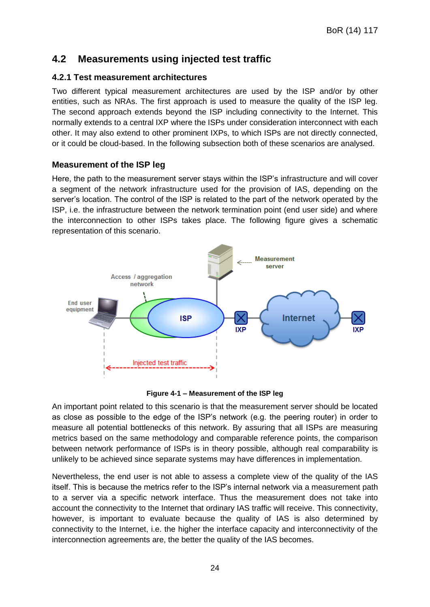## <span id="page-23-0"></span>**4.2 Measurements using injected test traffic**

### **4.2.1 Test measurement architectures**

Two different typical measurement architectures are used by the ISP and/or by other entities, such as NRAs. The first approach is used to measure the quality of the ISP leg. The second approach extends beyond the ISP including connectivity to the Internet. This normally extends to a central IXP where the ISPs under consideration interconnect with each other. It may also extend to other prominent IXPs, to which ISPs are not directly connected, or it could be cloud-based. In the following subsection both of these scenarios are analysed.

#### **Measurement of the ISP leg**

Here, the path to the measurement server stays within the ISP's infrastructure and will cover a segment of the network infrastructure used for the provision of IAS, depending on the server's location. The control of the ISP is related to the part of the network operated by the ISP, i.e. the infrastructure between the network termination point (end user side) and where the interconnection to other ISPs takes place. The following figure gives a schematic representation of this scenario.





An important point related to this scenario is that the measurement server should be located as close as possible to the edge of the ISP's network (e.g. the peering router) in order to measure all potential bottlenecks of this network. By assuring that all ISPs are measuring metrics based on the same methodology and comparable reference points, the comparison between network performance of ISPs is in theory possible, although real comparability is unlikely to be achieved since separate systems may have differences in implementation.

Nevertheless, the end user is not able to assess a complete view of the quality of the IAS itself. This is because the metrics refer to the ISP's internal network via a measurement path to a server via a specific network interface. Thus the measurement does not take into account the connectivity to the Internet that ordinary IAS traffic will receive. This connectivity, however, is important to evaluate because the quality of IAS is also determined by connectivity to the Internet, i.e. the higher the interface capacity and interconnectivity of the interconnection agreements are, the better the quality of the IAS becomes.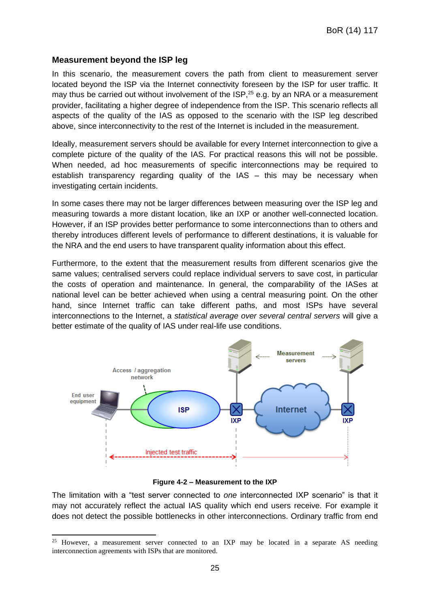#### **Measurement beyond the ISP leg**

In this scenario, the measurement covers the path from client to measurement server located beyond the ISP via the Internet connectivity foreseen by the ISP for user traffic. It may thus be carried out without involvement of the ISP.<sup>25</sup> e.g. by an NRA or a measurement provider, facilitating a higher degree of independence from the ISP. This scenario reflects all aspects of the quality of the IAS as opposed to the scenario with the ISP leg described above, since interconnectivity to the rest of the Internet is included in the measurement.

Ideally, measurement servers should be available for every Internet interconnection to give a complete picture of the quality of the IAS. For practical reasons this will not be possible. When needed, ad hoc measurements of specific interconnections may be required to establish transparency regarding quality of the IAS – this may be necessary when investigating certain incidents.

In some cases there may not be larger differences between measuring over the ISP leg and measuring towards a more distant location, like an IXP or another well-connected location. However, if an ISP provides better performance to some interconnections than to others and thereby introduces different levels of performance to different destinations, it is valuable for the NRA and the end users to have transparent quality information about this effect.

Furthermore, to the extent that the measurement results from different scenarios give the same values; centralised servers could replace individual servers to save cost, in particular the costs of operation and maintenance. In general, the comparability of the IASes at national level can be better achieved when using a central measuring point. On the other hand, since Internet traffic can take different paths, and most ISPs have several interconnections to the Internet, a *statistical average over several central servers* will give a better estimate of the quality of IAS under real-life use conditions.



#### **Figure 4-2 – Measurement to the IXP**

The limitation with a "test server connected to *one* interconnected IXP scenario" is that it may not accurately reflect the actual IAS quality which end users receive. For example it does not detect the possible bottlenecks in other interconnections. Ordinary traffic from end

<sup>-</sup><sup>25</sup> However, a measurement server connected to an IXP may be located in a separate AS needing interconnection agreements with ISPs that are monitored.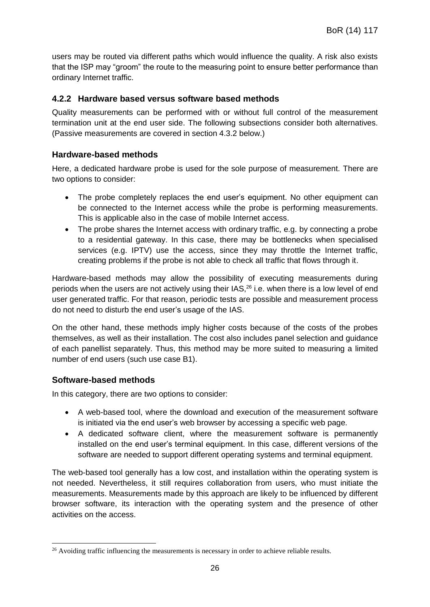users may be routed via different paths which would influence the quality. A risk also exists that the ISP may "groom" the route to the measuring point to ensure better performance than ordinary Internet traffic.

### **4.2.2 Hardware based versus software based methods**

Quality measurements can be performed with or without full control of the measurement termination unit at the end user side. The following subsections consider both alternatives. (Passive measurements are covered in section 4.3.2 below.)

#### **Hardware-based methods**

Here, a dedicated hardware probe is used for the sole purpose of measurement. There are two options to consider:

- The probe completely replaces the end user's equipment. No other equipment can be connected to the Internet access while the probe is performing measurements. This is applicable also in the case of mobile Internet access.
- The probe shares the Internet access with ordinary traffic, e.g. by connecting a probe to a residential gateway. In this case, there may be bottlenecks when specialised services (e.g. IPTV) use the access, since they may throttle the Internet traffic, creating problems if the probe is not able to check all traffic that flows through it.

Hardware-based methods may allow the possibility of executing measurements during periods when the users are not actively using their IAS,<sup>26</sup> i.e. when there is a low level of end user generated traffic. For that reason, periodic tests are possible and measurement process do not need to disturb the end user's usage of the IAS.

On the other hand, these methods imply higher costs because of the costs of the probes themselves, as well as their installation. The cost also includes panel selection and guidance of each panellist separately. Thus, this method may be more suited to measuring a limited number of end users (such use case B1).

#### **Software-based methods**

-

In this category, there are two options to consider:

- A web-based tool, where the download and execution of the measurement software is initiated via the end user's web browser by accessing a specific web page.
- A dedicated software client, where the measurement software is permanently installed on the end user's terminal equipment. In this case, different versions of the software are needed to support different operating systems and terminal equipment.

The web-based tool generally has a low cost, and installation within the operating system is not needed. Nevertheless, it still requires collaboration from users, who must initiate the measurements. Measurements made by this approach are likely to be influenced by different browser software, its interaction with the operating system and the presence of other activities on the access.

<sup>&</sup>lt;sup>26</sup> Avoiding traffic influencing the measurements is necessary in order to achieve reliable results.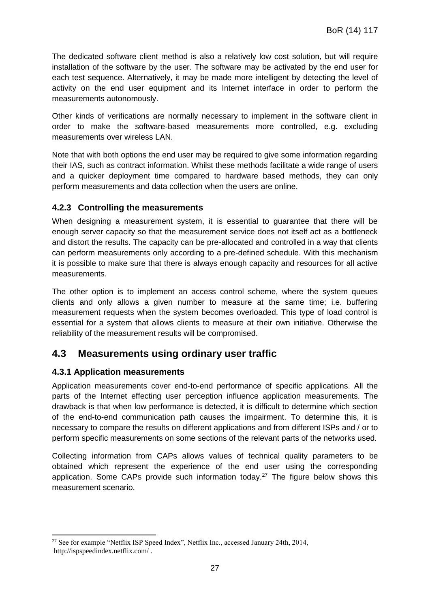The dedicated software client method is also a relatively low cost solution, but will require installation of the software by the user. The software may be activated by the end user for each test sequence. Alternatively, it may be made more intelligent by detecting the level of activity on the end user equipment and its Internet interface in order to perform the measurements autonomously.

Other kinds of verifications are normally necessary to implement in the software client in order to make the software-based measurements more controlled, e.g. excluding measurements over wireless LAN.

Note that with both options the end user may be required to give some information regarding their IAS, such as contract information. Whilst these methods facilitate a wide range of users and a quicker deployment time compared to hardware based methods, they can only perform measurements and data collection when the users are online.

### **4.2.3 Controlling the measurements**

When designing a measurement system, it is essential to guarantee that there will be enough server capacity so that the measurement service does not itself act as a bottleneck and distort the results. The capacity can be pre-allocated and controlled in a way that clients can perform measurements only according to a pre-defined schedule. With this mechanism it is possible to make sure that there is always enough capacity and resources for all active measurements.

The other option is to implement an access control scheme, where the system queues clients and only allows a given number to measure at the same time; i.e. buffering measurement requests when the system becomes overloaded. This type of load control is essential for a system that allows clients to measure at their own initiative. Otherwise the reliability of the measurement results will be compromised.

## <span id="page-26-0"></span>**4.3 Measurements using ordinary user traffic**

## **4.3.1 Application measurements**

Application measurements cover end-to-end performance of specific applications. All the parts of the Internet effecting user perception influence application measurements. The drawback is that when low performance is detected, it is difficult to determine which section of the end-to-end communication path causes the impairment. To determine this, it is necessary to compare the results on different applications and from different ISPs and / or to perform specific measurements on some sections of the relevant parts of the networks used.

Collecting information from CAPs allows values of technical quality parameters to be obtained which represent the experience of the end user using the corresponding application. Some CAPs provide such information today.<sup>27</sup> The figure below shows this measurement scenario.

<sup>-</sup><sup>27</sup> See for example "Netflix ISP Speed Index", Netflix Inc., accessed January 24th, 2014, http://ispspeedindex.netflix.com/ .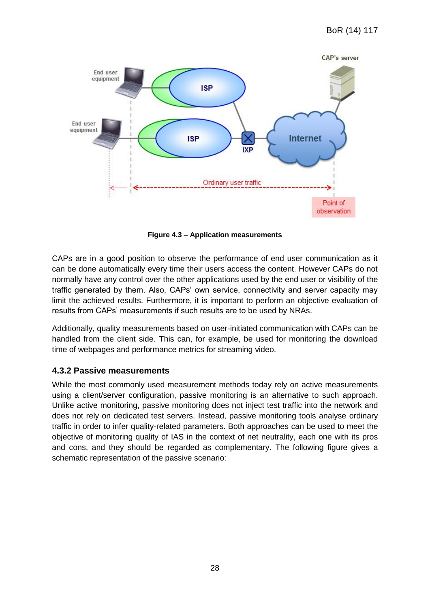

**Figure 4.3 – Application measurements**

CAPs are in a good position to observe the performance of end user communication as it can be done automatically every time their users access the content. However CAPs do not normally have any control over the other applications used by the end user or visibility of the traffic generated by them. Also, CAPs' own service, connectivity and server capacity may limit the achieved results. Furthermore, it is important to perform an objective evaluation of results from CAPs' measurements if such results are to be used by NRAs.

Additionally, quality measurements based on user-initiated communication with CAPs can be handled from the client side. This can, for example, be used for monitoring the download time of webpages and performance metrics for streaming video.

#### **4.3.2 Passive measurements**

While the most commonly used measurement methods today rely on active measurements using a client/server configuration, passive monitoring is an alternative to such approach. Unlike active monitoring, passive monitoring does not inject test traffic into the network and does not rely on dedicated test servers. Instead, passive monitoring tools analyse ordinary traffic in order to infer quality-related parameters. Both approaches can be used to meet the objective of monitoring quality of IAS in the context of net neutrality, each one with its pros and cons, and they should be regarded as complementary. The following figure gives a schematic representation of the passive scenario: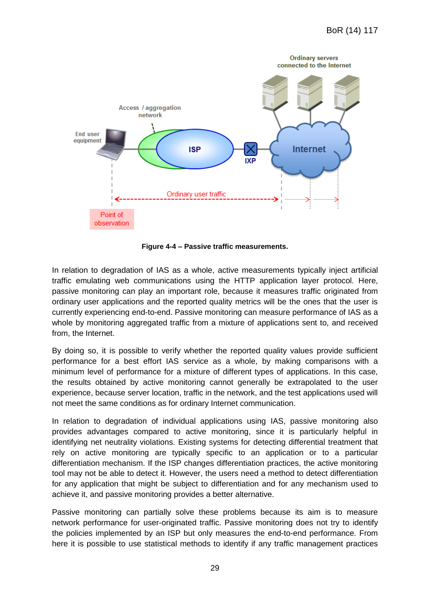

**Figure 4-4 – Passive traffic measurements.**

In relation to degradation of IAS as a whole, active measurements typically inject artificial traffic emulating web communications using the HTTP application layer protocol. Here, passive monitoring can play an important role, because it measures traffic originated from ordinary user applications and the reported quality metrics will be the ones that the user is currently experiencing end-to-end. Passive monitoring can measure performance of IAS as a whole by monitoring aggregated traffic from a mixture of applications sent to, and received from, the Internet.

By doing so, it is possible to verify whether the reported quality values provide sufficient performance for a best effort IAS service as a whole, by making comparisons with a minimum level of performance for a mixture of different types of applications. In this case, the results obtained by active monitoring cannot generally be extrapolated to the user experience, because server location, traffic in the network, and the test applications used will not meet the same conditions as for ordinary Internet communication.

In relation to degradation of individual applications using IAS, passive monitoring also provides advantages compared to active monitoring, since it is particularly helpful in identifying net neutrality violations. Existing systems for detecting differential treatment that rely on active monitoring are typically specific to an application or to a particular differentiation mechanism. If the ISP changes differentiation practices, the active monitoring tool may not be able to detect it. However, the users need a method to detect differentiation for any application that might be subject to differentiation and for any mechanism used to achieve it, and passive monitoring provides a better alternative.

Passive monitoring can partially solve these problems because its aim is to measure network performance for user-originated traffic. Passive monitoring does not try to identify the policies implemented by an ISP but only measures the end-to-end performance. From here it is possible to use statistical methods to identify if any traffic management practices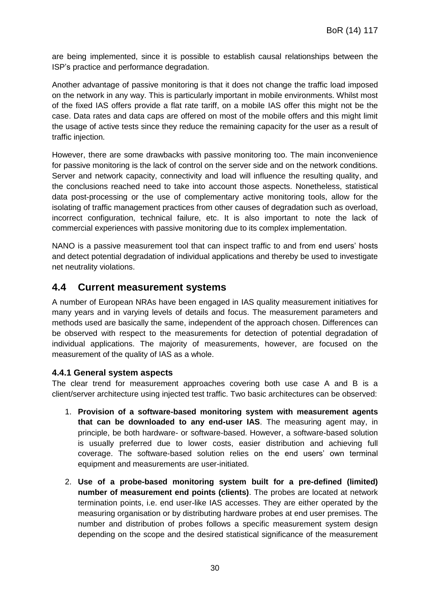are being implemented, since it is possible to establish causal relationships between the ISP's practice and performance degradation.

Another advantage of passive monitoring is that it does not change the traffic load imposed on the network in any way. This is particularly important in mobile environments. Whilst most of the fixed IAS offers provide a flat rate tariff, on a mobile IAS offer this might not be the case. Data rates and data caps are offered on most of the mobile offers and this might limit the usage of active tests since they reduce the remaining capacity for the user as a result of traffic injection.

However, there are some drawbacks with passive monitoring too. The main inconvenience for passive monitoring is the lack of control on the server side and on the network conditions. Server and network capacity, connectivity and load will influence the resulting quality, and the conclusions reached need to take into account those aspects. Nonetheless, statistical data post-processing or the use of complementary active monitoring tools, allow for the isolating of traffic management practices from other causes of degradation such as overload, incorrect configuration, technical failure, etc. It is also important to note the lack of commercial experiences with passive monitoring due to its complex implementation.

NANO is a passive measurement tool that can inspect traffic to and from end users' hosts and detect potential degradation of individual applications and thereby be used to investigate net neutrality violations.

## <span id="page-29-0"></span>**4.4 Current measurement systems**

A number of European NRAs have been engaged in IAS quality measurement initiatives for many years and in varying levels of details and focus. The measurement parameters and methods used are basically the same, independent of the approach chosen. Differences can be observed with respect to the measurements for detection of potential degradation of individual applications. The majority of measurements, however, are focused on the measurement of the quality of IAS as a whole.

#### **4.4.1 General system aspects**

The clear trend for measurement approaches covering both use case A and B is a client/server architecture using injected test traffic. Two basic architectures can be observed:

- 1. **Provision of a software-based monitoring system with measurement agents that can be downloaded to any end-user IAS**. The measuring agent may, in principle, be both hardware- or software-based. However, a software-based solution is usually preferred due to lower costs, easier distribution and achieving full coverage. The software-based solution relies on the end users' own terminal equipment and measurements are user-initiated.
- 2. **Use of a probe-based monitoring system built for a pre-defined (limited) number of measurement end points (clients)**. The probes are located at network termination points, i.e. end user-like IAS accesses. They are either operated by the measuring organisation or by distributing hardware probes at end user premises. The number and distribution of probes follows a specific measurement system design depending on the scope and the desired statistical significance of the measurement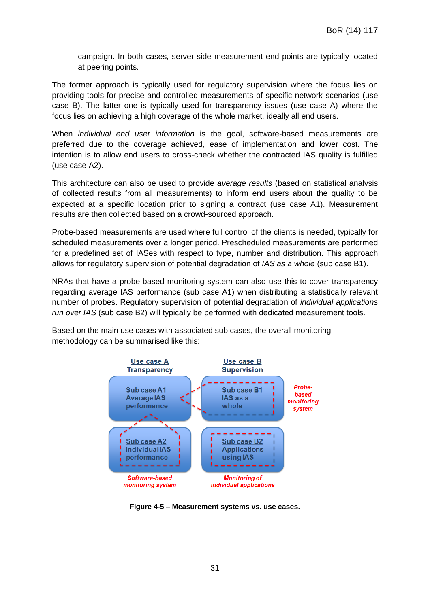campaign. In both cases, server-side measurement end points are typically located at peering points.

The former approach is typically used for regulatory supervision where the focus lies on providing tools for precise and controlled measurements of specific network scenarios (use case B). The latter one is typically used for transparency issues (use case A) where the focus lies on achieving a high coverage of the whole market, ideally all end users.

When *individual end user information* is the goal, software-based measurements are preferred due to the coverage achieved, ease of implementation and lower cost. The intention is to allow end users to cross-check whether the contracted IAS quality is fulfilled (use case A2).

This architecture can also be used to provide *average results* (based on statistical analysis of collected results from all measurements) to inform end users about the quality to be expected at a specific location prior to signing a contract (use case A1). Measurement results are then collected based on a crowd-sourced approach.

Probe-based measurements are used where full control of the clients is needed, typically for scheduled measurements over a longer period. Prescheduled measurements are performed for a predefined set of IASes with respect to type, number and distribution. This approach allows for regulatory supervision of potential degradation of *IAS as a whole* (sub case B1).

NRAs that have a probe-based monitoring system can also use this to cover transparency regarding average IAS performance (sub case A1) when distributing a statistically relevant number of probes. Regulatory supervision of potential degradation of *individual applications run over IAS* (sub case B2) will typically be performed with dedicated measurement tools.

Based on the main use cases with associated sub cases, the overall monitoring methodology can be summarised like this:



**Figure 4-5 – Measurement systems vs. use cases.**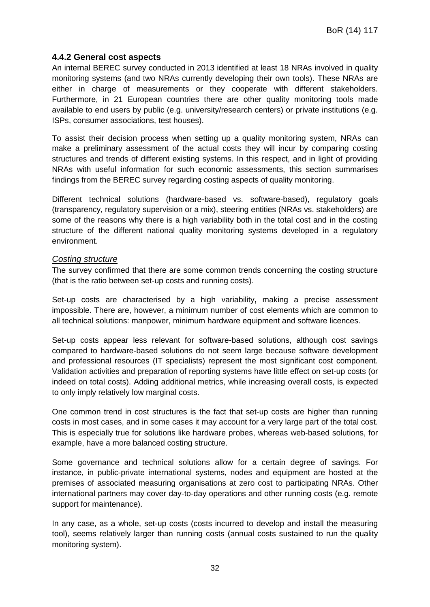#### **4.4.2 General cost aspects**

An internal BEREC survey conducted in 2013 identified at least 18 NRAs involved in quality monitoring systems (and two NRAs currently developing their own tools). These NRAs are either in charge of measurements or they cooperate with different stakeholders. Furthermore, in 21 European countries there are other quality monitoring tools made available to end users by public (e.g. university/research centers) or private institutions (e.g. ISPs, consumer associations, test houses).

To assist their decision process when setting up a quality monitoring system, NRAs can make a preliminary assessment of the actual costs they will incur by comparing costing structures and trends of different existing systems. In this respect, and in light of providing NRAs with useful information for such economic assessments, this section summarises findings from the BEREC survey regarding costing aspects of quality monitoring.

Different technical solutions (hardware-based vs. software-based), regulatory goals (transparency, regulatory supervision or a mix), steering entities (NRAs vs. stakeholders) are some of the reasons why there is a high variability both in the total cost and in the costing structure of the different national quality monitoring systems developed in a regulatory environment.

#### *Costing structure*

The survey confirmed that there are some common trends concerning the costing structure (that is the ratio between set-up costs and running costs).

Set-up costs are characterised by a high variability**,** making a precise assessment impossible. There are, however, a minimum number of cost elements which are common to all technical solutions: manpower, minimum hardware equipment and software licences.

Set-up costs appear less relevant for software-based solutions, although cost savings compared to hardware-based solutions do not seem large because software development and professional resources (IT specialists) represent the most significant cost component. Validation activities and preparation of reporting systems have little effect on set-up costs (or indeed on total costs). Adding additional metrics, while increasing overall costs, is expected to only imply relatively low marginal costs.

One common trend in cost structures is the fact that set-up costs are higher than running costs in most cases, and in some cases it may account for a very large part of the total cost. This is especially true for solutions like hardware probes, whereas web-based solutions, for example, have a more balanced costing structure.

Some governance and technical solutions allow for a certain degree of savings. For instance, in public-private international systems, nodes and equipment are hosted at the premises of associated measuring organisations at zero cost to participating NRAs. Other international partners may cover day-to-day operations and other running costs (e.g. remote support for maintenance).

In any case, as a whole, set-up costs (costs incurred to develop and install the measuring tool), seems relatively larger than running costs (annual costs sustained to run the quality monitoring system).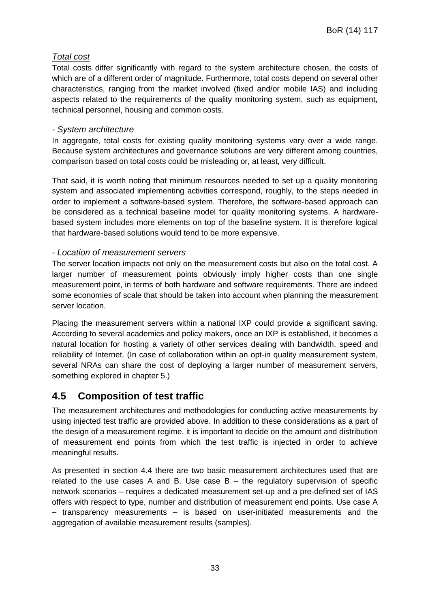### *Total cost*

Total costs differ significantly with regard to the system architecture chosen, the costs of which are of a different order of magnitude. Furthermore, total costs depend on several other characteristics, ranging from the market involved (fixed and/or mobile IAS) and including aspects related to the requirements of the quality monitoring system, such as equipment, technical personnel, housing and common costs.

#### *- System architecture*

In aggregate, total costs for existing quality monitoring systems vary over a wide range. Because system architectures and governance solutions are very different among countries, comparison based on total costs could be misleading or, at least, very difficult.

That said, it is worth noting that minimum resources needed to set up a quality monitoring system and associated implementing activities correspond, roughly, to the steps needed in order to implement a software-based system. Therefore, the software-based approach can be considered as a technical baseline model for quality monitoring systems. A hardwarebased system includes more elements on top of the baseline system. It is therefore logical that hardware-based solutions would tend to be more expensive.

#### *- Location of measurement servers*

The server location impacts not only on the measurement costs but also on the total cost. A larger number of measurement points obviously imply higher costs than one single measurement point, in terms of both hardware and software requirements. There are indeed some economies of scale that should be taken into account when planning the measurement server location.

Placing the measurement servers within a national IXP could provide a significant saving. According to several academics and policy makers, once an IXP is established, it becomes a natural location for hosting a variety of other services dealing with bandwidth, speed and reliability of Internet. (In case of collaboration within an opt-in quality measurement system, several NRAs can share the cost of deploying a larger number of measurement servers, something explored in chapter 5.)

## <span id="page-32-0"></span>**4.5 Composition of test traffic**

The measurement architectures and methodologies for conducting active measurements by using injected test traffic are provided above. In addition to these considerations as a part of the design of a measurement regime, it is important to decide on the amount and distribution of measurement end points from which the test traffic is injected in order to achieve meaningful results.

As presented in section 4.4 there are two basic measurement architectures used that are related to the use cases A and B. Use case  $B -$  the regulatory supervision of specific network scenarios – requires a dedicated measurement set-up and a pre-defined set of IAS offers with respect to type, number and distribution of measurement end points. Use case A – transparency measurements – is based on user-initiated measurements and the aggregation of available measurement results (samples).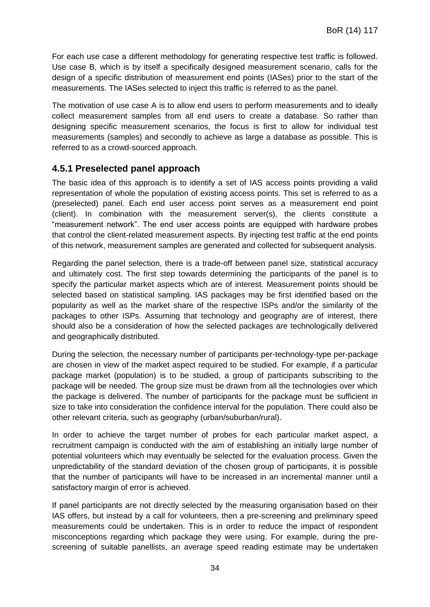For each use case a different methodology for generating respective test traffic is followed. Use case B, which is by itself a specifically designed measurement scenario, calls for the design of a specific distribution of measurement end points (IASes) prior to the start of the measurements. The IASes selected to inject this traffic is referred to as the panel.

The motivation of use case A is to allow end users to perform measurements and to ideally collect measurement samples from all end users to create a database. So rather than designing specific measurement scenarios, the focus is first to allow for individual test measurements (samples) and secondly to achieve as large a database as possible. This is referred to as a crowd-sourced approach.

## **4.5.1 Preselected panel approach**

The basic idea of this approach is to identify a set of IAS access points providing a valid representation of whole the population of existing access points. This set is referred to as a (preselected) panel. Each end user access point serves as a measurement end point (client). In combination with the measurement server(s), the clients constitute a "measurement network". The end user access points are equipped with hardware probes that control the client-related measurement aspects. By injecting test traffic at the end points of this network, measurement samples are generated and collected for subsequent analysis.

Regarding the panel selection, there is a trade-off between panel size, statistical accuracy and ultimately cost. The first step towards determining the participants of the panel is to specify the particular market aspects which are of interest. Measurement points should be selected based on statistical sampling. IAS packages may be first identified based on the popularity as well as the market share of the respective ISPs and/or the similarity of the packages to other ISPs. Assuming that technology and geography are of interest, there should also be a consideration of how the selected packages are technologically delivered and geographically distributed.

During the selection, the necessary number of participants per-technology-type per-package are chosen in view of the market aspect required to be studied. For example, if a particular package market (population) is to be studied, a group of participants subscribing to the package will be needed. The group size must be drawn from all the technologies over which the package is delivered. The number of participants for the package must be sufficient in size to take into consideration the confidence interval for the population. There could also be other relevant criteria, such as geography (urban/suburban/rural).

In order to achieve the target number of probes for each particular market aspect, a recruitment campaign is conducted with the aim of establishing an initially large number of potential volunteers which may eventually be selected for the evaluation process. Given the unpredictability of the standard deviation of the chosen group of participants, it is possible that the number of participants will have to be increased in an incremental manner until a satisfactory margin of error is achieved.

If panel participants are not directly selected by the measuring organisation based on their IAS offers, but instead by a call for volunteers, then a pre-screening and preliminary speed measurements could be undertaken. This is in order to reduce the impact of respondent misconceptions regarding which package they were using. For example, during the prescreening of suitable panellists, an average speed reading estimate may be undertaken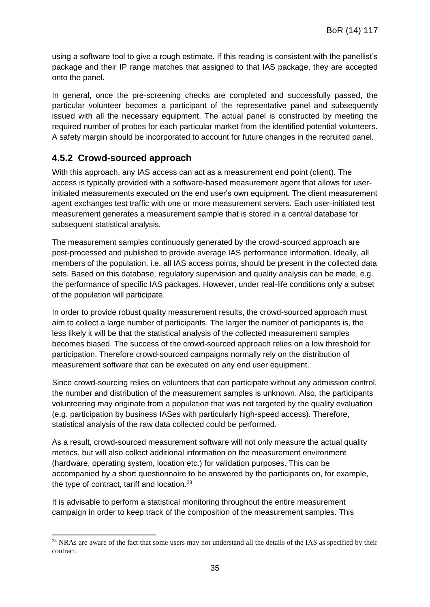using a software tool to give a rough estimate. If this reading is consistent with the panellist's package and their IP range matches that assigned to that IAS package, they are accepted onto the panel.

In general, once the pre-screening checks are completed and successfully passed, the particular volunteer becomes a participant of the representative panel and subsequently issued with all the necessary equipment. The actual panel is constructed by meeting the required number of probes for each particular market from the identified potential volunteers. A safety margin should be incorporated to account for future changes in the recruited panel.

## **4.5.2 Crowd-sourced approach**

With this approach, any IAS access can act as a measurement end point (client). The access is typically provided with a software-based measurement agent that allows for userinitiated measurements executed on the end user's own equipment. The client measurement agent exchanges test traffic with one or more measurement servers. Each user-initiated test measurement generates a measurement sample that is stored in a central database for subsequent statistical analysis.

The measurement samples continuously generated by the crowd-sourced approach are post-processed and published to provide average IAS performance information. Ideally, all members of the population, i.e. all IAS access points, should be present in the collected data sets. Based on this database, regulatory supervision and quality analysis can be made, e.g. the performance of specific IAS packages. However, under real-life conditions only a subset of the population will participate.

In order to provide robust quality measurement results, the crowd-sourced approach must aim to collect a large number of participants. The larger the number of participants is, the less likely it will be that the statistical analysis of the collected measurement samples becomes biased. The success of the crowd-sourced approach relies on a low threshold for participation. Therefore crowd-sourced campaigns normally rely on the distribution of measurement software that can be executed on any end user equipment.

Since crowd-sourcing relies on volunteers that can participate without any admission control, the number and distribution of the measurement samples is unknown. Also, the participants volunteering may originate from a population that was not targeted by the quality evaluation (e.g. participation by business IASes with particularly high-speed access). Therefore, statistical analysis of the raw data collected could be performed.

As a result, crowd-sourced measurement software will not only measure the actual quality metrics, but will also collect additional information on the measurement environment (hardware, operating system, location etc.) for validation purposes. This can be accompanied by a short questionnaire to be answered by the participants on, for example, the type of contract, tariff and location.<sup>28</sup>

It is advisable to perform a statistical monitoring throughout the entire measurement campaign in order to keep track of the composition of the measurement samples. This

<sup>-</sup><sup>28</sup> NRAs are aware of the fact that some users may not understand all the details of the IAS as specified by their contract.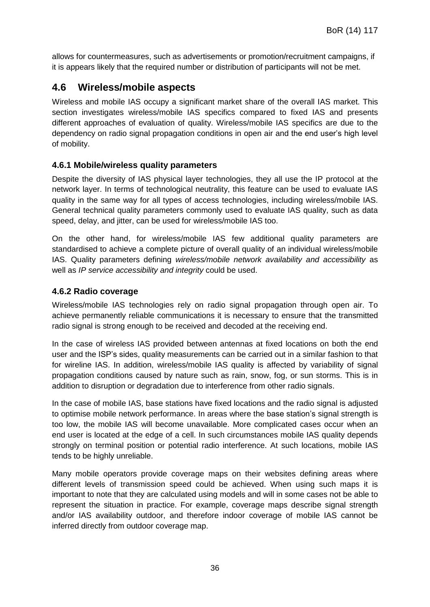allows for countermeasures, such as advertisements or promotion/recruitment campaigns, if it is appears likely that the required number or distribution of participants will not be met.

## <span id="page-35-0"></span>**4.6 Wireless/mobile aspects**

Wireless and mobile IAS occupy a significant market share of the overall IAS market. This section investigates wireless/mobile IAS specifics compared to fixed IAS and presents different approaches of evaluation of quality. Wireless/mobile IAS specifics are due to the dependency on radio signal propagation conditions in open air and the end user's high level of mobility.

### **4.6.1 Mobile/wireless quality parameters**

Despite the diversity of IAS physical layer technologies, they all use the IP protocol at the network layer. In terms of technological neutrality, this feature can be used to evaluate IAS quality in the same way for all types of access technologies, including wireless/mobile IAS. General technical quality parameters commonly used to evaluate IAS quality, such as data speed, delay, and jitter, can be used for wireless/mobile IAS too.

On the other hand, for wireless/mobile IAS few additional quality parameters are standardised to achieve a complete picture of overall quality of an individual wireless/mobile IAS. Quality parameters defining *wireless/mobile network availability and accessibility* as well as *IP service accessibility and integrity* could be used.

#### **4.6.2 Radio coverage**

Wireless/mobile IAS technologies rely on radio signal propagation through open air. To achieve permanently reliable communications it is necessary to ensure that the transmitted radio signal is strong enough to be received and decoded at the receiving end.

In the case of wireless IAS provided between antennas at fixed locations on both the end user and the ISP's sides, quality measurements can be carried out in a similar fashion to that for wireline IAS. In addition, wireless/mobile IAS quality is affected by variability of signal propagation conditions caused by nature such as rain, snow, fog, or sun storms. This is in addition to disruption or degradation due to interference from other radio signals.

In the case of mobile IAS, base stations have fixed locations and the radio signal is adjusted to optimise mobile network performance. In areas where the base station's signal strength is too low, the mobile IAS will become unavailable. More complicated cases occur when an end user is located at the edge of a cell. In such circumstances mobile IAS quality depends strongly on terminal position or potential radio interference. At such locations, mobile IAS tends to be highly unreliable.

Many mobile operators provide coverage maps on their websites defining areas where different levels of transmission speed could be achieved. When using such maps it is important to note that they are calculated using models and will in some cases not be able to represent the situation in practice. For example, coverage maps describe signal strength and/or IAS availability outdoor, and therefore indoor coverage of mobile IAS cannot be inferred directly from outdoor coverage map.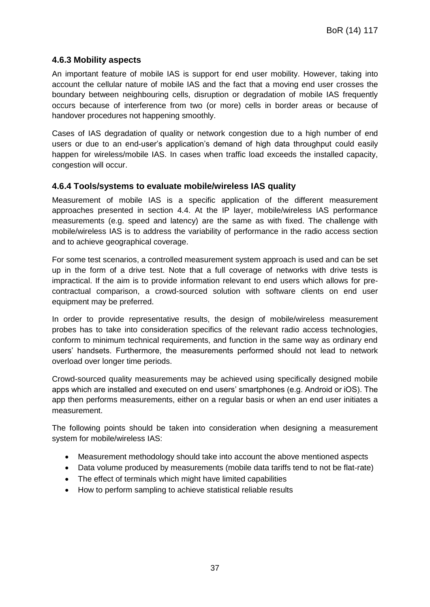#### **4.6.3 Mobility aspects**

An important feature of mobile IAS is support for end user mobility. However, taking into account the cellular nature of mobile IAS and the fact that a moving end user crosses the boundary between neighbouring cells, disruption or degradation of mobile IAS frequently occurs because of interference from two (or more) cells in border areas or because of handover procedures not happening smoothly.

Cases of IAS degradation of quality or network congestion due to a high number of end users or due to an end-user's application's demand of high data throughput could easily happen for wireless/mobile IAS. In cases when traffic load exceeds the installed capacity, congestion will occur.

#### **4.6.4 Tools/systems to evaluate mobile/wireless IAS quality**

Measurement of mobile IAS is a specific application of the different measurement approaches presented in section 4.4. At the IP layer, mobile/wireless IAS performance measurements (e.g. speed and latency) are the same as with fixed. The challenge with mobile/wireless IAS is to address the variability of performance in the radio access section and to achieve geographical coverage.

For some test scenarios, a controlled measurement system approach is used and can be set up in the form of a drive test. Note that a full coverage of networks with drive tests is impractical. If the aim is to provide information relevant to end users which allows for precontractual comparison, a crowd-sourced solution with software clients on end user equipment may be preferred.

In order to provide representative results, the design of mobile/wireless measurement probes has to take into consideration specifics of the relevant radio access technologies, conform to minimum technical requirements, and function in the same way as ordinary end users' handsets. Furthermore, the measurements performed should not lead to network overload over longer time periods.

Crowd-sourced quality measurements may be achieved using specifically designed mobile apps which are installed and executed on end users' smartphones (e.g. Android or iOS). The app then performs measurements, either on a regular basis or when an end user initiates a measurement.

The following points should be taken into consideration when designing a measurement system for mobile/wireless IAS:

- Measurement methodology should take into account the above mentioned aspects
- Data volume produced by measurements (mobile data tariffs tend to not be flat-rate)
- The effect of terminals which might have limited capabilities
- How to perform sampling to achieve statistical reliable results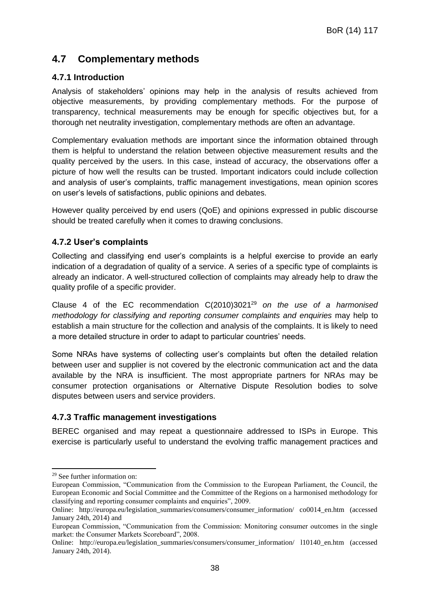## <span id="page-37-0"></span>**4.7 Complementary methods**

## **4.7.1 Introduction**

Analysis of stakeholders' opinions may help in the analysis of results achieved from objective measurements, by providing complementary methods. For the purpose of transparency, technical measurements may be enough for specific objectives but, for a thorough net neutrality investigation, complementary methods are often an advantage.

Complementary evaluation methods are important since the information obtained through them is helpful to understand the relation between objective measurement results and the quality perceived by the users. In this case, instead of accuracy, the observations offer a picture of how well the results can be trusted. Important indicators could include collection and analysis of user's complaints, traffic management investigations, mean opinion scores on user's levels of satisfactions, public opinions and debates.

However quality perceived by end users (QoE) and opinions expressed in public discourse should be treated carefully when it comes to drawing conclusions.

## **4.7.2 User's complaints**

Collecting and classifying end user's complaints is a helpful exercise to provide an early indication of a degradation of quality of a service. A series of a specific type of complaints is already an indicator. A well-structured collection of complaints may already help to draw the quality profile of a specific provider.

Clause 4 of the EC recommendation C(2010)3021<sup>29</sup> *on the use of a harmonised methodology for classifying and reporting consumer complaints and enquiries* may help to establish a main structure for the collection and analysis of the complaints. It is likely to need a more detailed structure in order to adapt to particular countries' needs.

Some NRAs have systems of collecting user's complaints but often the detailed relation between user and supplier is not covered by the electronic communication act and the data available by the NRA is insufficient. The most appropriate partners for NRAs may be consumer protection organisations or Alternative Dispute Resolution bodies to solve disputes between users and service providers.

## **4.7.3 Traffic management investigations**

BEREC organised and may repeat a questionnaire addressed to ISPs in Europe. This exercise is particularly useful to understand the evolving traffic management practices and

-

<sup>29</sup> See further information on:

European Commission, "Communication from the Commission to the European Parliament, the Council, the European Economic and Social Committee and the Committee of the Regions on a harmonised methodology for classifying and reporting consumer complaints and enquiries", 2009.

Online: http://europa.eu/legislation\_summaries/consumers/consumer\_information/ co0014\_en.htm (accessed January 24th, 2014) and

European Commission, "Communication from the Commission: Monitoring consumer outcomes in the single market: the Consumer Markets Scoreboard", 2008.

Online: http://europa.eu/legislation\_summaries/consumers/consumer\_information/ l10140\_en.htm (accessed January 24th, 2014).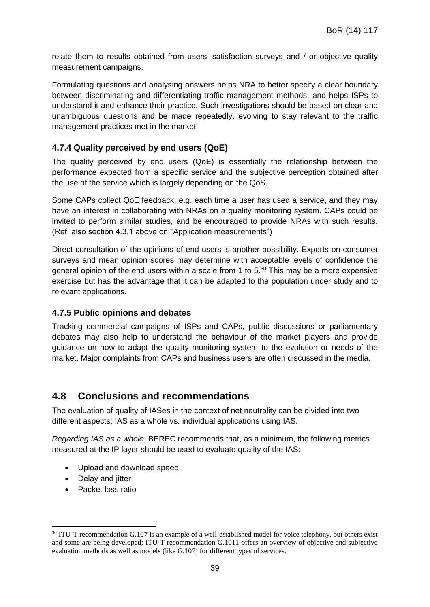relate them to results obtained from users' satisfaction surveys and / or objective quality measurement campaigns.

Formulating questions and analysing answers helps NRA to better specify a clear boundary between discriminating and differentiating traffic management methods, and helps ISPs to understand it and enhance their practice. Such investigations should be based on clear and unambiguous questions and be made repeatedly, evolving to stay relevant to the traffic management practices met in the market.

## **4.7.4 Quality perceived by end users (QoE)**

The quality perceived by end users (QoE) is essentially the relationship between the performance expected from a specific service and the subjective perception obtained after the use of the service which is largely depending on the QoS.

Some CAPs collect QoE feedback, e.g. each time a user has used a service, and they may have an interest in collaborating with NRAs on a quality monitoring system. CAPs could be invited to perform similar studies, and be encouraged to provide NRAs with such results. (Ref. also section 4.3.1 above on "Application measurements")

Direct consultation of the opinions of end users is another possibility. Experts on consumer surveys and mean opinion scores may determine with acceptable levels of confidence the general opinion of the end users within a scale from 1 to 5.<sup>30</sup> This may be a more expensive exercise but has the advantage that it can be adapted to the population under study and to relevant applications.

#### **4.7.5 Public opinions and debates**

Tracking commercial campaigns of ISPs and CAPs, public discussions or parliamentary debates may also help to understand the behaviour of the market players and provide guidance on how to adapt the quality monitoring system to the evolution or needs of the market. Major complaints from CAPs and business users are often discussed in the media.

## <span id="page-38-0"></span>**4.8 Conclusions and recommendations**

The evaluation of quality of IASes in the context of net neutrality can be divided into two different aspects; IAS as a whole vs. individual applications using IAS.

*Regarding IAS as a whole*, BEREC recommends that, as a minimum, the following metrics measured at the IP layer should be used to evaluate quality of the IAS:

- Upload and download speed
- Delay and jitter
- Packet loss ratio

-

<sup>&</sup>lt;sup>30</sup> ITU-T recommendation G.107 is an example of a well-established model for voice telephony, but others exist and some are being developed; ITU-T recommendation G.1011 offers an overview of objective and subjective evaluation methods as well as models (like G.107) for different types of services.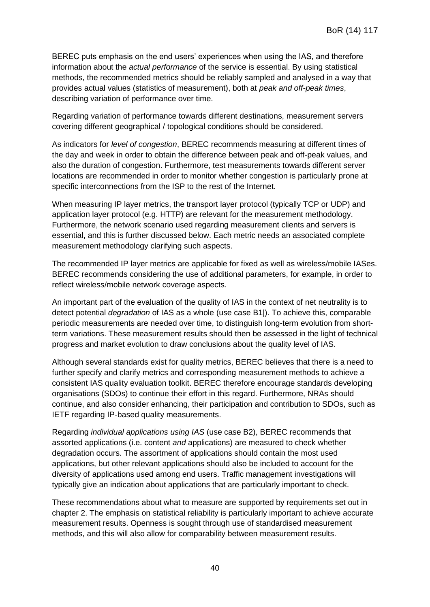BEREC puts emphasis on the end users' experiences when using the IAS, and therefore information about the *actual performance* of the service is essential. By using statistical methods, the recommended metrics should be reliably sampled and analysed in a way that provides actual values (statistics of measurement), both at *peak and off-peak times*, describing variation of performance over time.

Regarding variation of performance towards different destinations, measurement servers covering different geographical / topological conditions should be considered.

As indicators for *level of congestion*, BEREC recommends measuring at different times of the day and week in order to obtain the difference between peak and off-peak values, and also the duration of congestion. Furthermore, test measurements towards different server locations are recommended in order to monitor whether congestion is particularly prone at specific interconnections from the ISP to the rest of the Internet.

When measuring IP layer metrics, the transport layer protocol (typically TCP or UDP) and application layer protocol (e.g. HTTP) are relevant for the measurement methodology. Furthermore, the network scenario used regarding measurement clients and servers is essential, and this is further discussed below. Each metric needs an associated complete measurement methodology clarifying such aspects.

The recommended IP layer metrics are applicable for fixed as well as wireless/mobile IASes. BEREC recommends considering the use of additional parameters, for example, in order to reflect wireless/mobile network coverage aspects.

An important part of the evaluation of the quality of IAS in the context of net neutrality is to detect potential *degradation* of IAS as a whole (use case B1|). To achieve this, comparable periodic measurements are needed over time, to distinguish long-term evolution from shortterm variations. These measurement results should then be assessed in the light of technical progress and market evolution to draw conclusions about the quality level of IAS.

Although several standards exist for quality metrics, BEREC believes that there is a need to further specify and clarify metrics and corresponding measurement methods to achieve a consistent IAS quality evaluation toolkit. BEREC therefore encourage standards developing organisations (SDOs) to continue their effort in this regard. Furthermore, NRAs should continue, and also consider enhancing, their participation and contribution to SDOs, such as IETF regarding IP-based quality measurements.

Regarding *individual applications using IAS* (use case B2), BEREC recommends that assorted applications (i.e. content *and* applications) are measured to check whether degradation occurs. The assortment of applications should contain the most used applications, but other relevant applications should also be included to account for the diversity of applications used among end users. Traffic management investigations will typically give an indication about applications that are particularly important to check.

These recommendations about what to measure are supported by requirements set out in chapter 2. The emphasis on statistical reliability is particularly important to achieve accurate measurement results. Openness is sought through use of standardised measurement methods, and this will also allow for comparability between measurement results.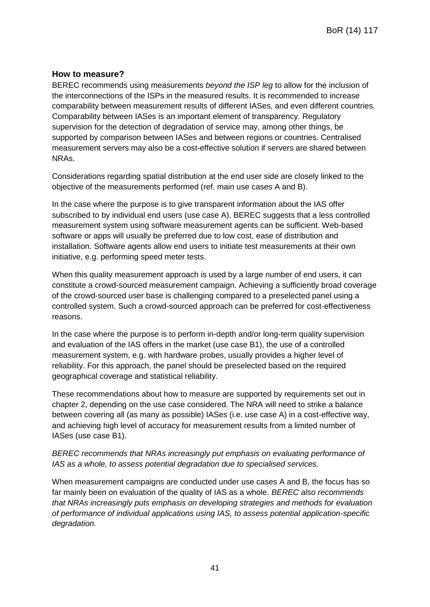### **How to measure?**

BEREC recommends using measurements *beyond the ISP leg* to allow for the inclusion of the interconnections of the ISPs in the measured results. It is recommended to increase comparability between measurement results of different IASes, and even different countries. Comparability between IASes is an important element of transparency. Regulatory supervision for the detection of degradation of service may, among other things, be supported by comparison between IASes and between regions or countries. Centralised measurement servers may also be a cost-effective solution if servers are shared between NRAs.

Considerations regarding spatial distribution at the end user side are closely linked to the objective of the measurements performed (ref. main use cases A and B).

In the case where the purpose is to give transparent information about the IAS offer subscribed to by individual end users (use case A), BEREC suggests that a less controlled measurement system using software measurement agents can be sufficient. Web-based software or apps will usually be preferred due to low cost, ease of distribution and installation. Software agents allow end users to initiate test measurements at their own initiative, e.g. performing speed meter tests.

When this quality measurement approach is used by a large number of end users, it can constitute a crowd-sourced measurement campaign. Achieving a sufficiently broad coverage of the crowd-sourced user base is challenging compared to a preselected panel using a controlled system. Such a crowd-sourced approach can be preferred for cost-effectiveness reasons.

In the case where the purpose is to perform in-depth and/or long-term quality supervision and evaluation of the IAS offers in the market (use case B1), the use of a controlled measurement system, e.g. with hardware probes, usually provides a higher level of reliability. For this approach, the panel should be preselected based on the required geographical coverage and statistical reliability.

These recommendations about how to measure are supported by requirements set out in chapter 2, depending on the use case considered. The NRA will need to strike a balance between covering all (as many as possible) IASes (i.e. use case A) in a cost-effective way, and achieving high level of accuracy for measurement results from a limited number of IASes (use case B1).

#### *BEREC recommends that NRAs increasingly put emphasis on evaluating performance of IAS as a whole, to assess potential degradation due to specialised services.*

When measurement campaigns are conducted under use cases A and B, the focus has so far mainly been on evaluation of the quality of IAS as a whole. *BEREC also recommends that NRAs increasingly puts emphasis on developing strategies and methods for evaluation of performance of individual applications using IAS, to assess potential application-specific degradation.*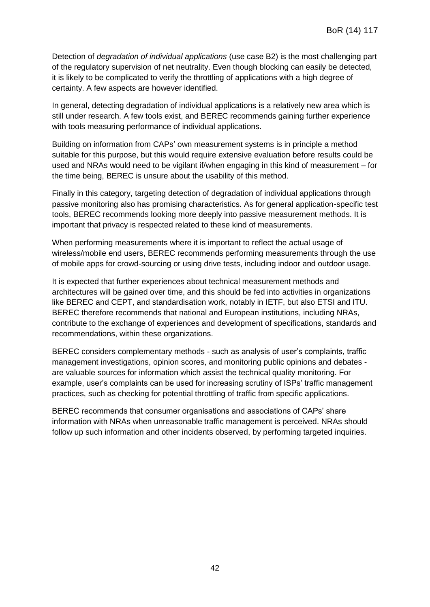Detection of *degradation of individual applications* (use case B2) is the most challenging part of the regulatory supervision of net neutrality. Even though blocking can easily be detected, it is likely to be complicated to verify the throttling of applications with a high degree of certainty. A few aspects are however identified.

In general, detecting degradation of individual applications is a relatively new area which is still under research. A few tools exist, and BEREC recommends gaining further experience with tools measuring performance of individual applications.

Building on information from CAPs' own measurement systems is in principle a method suitable for this purpose, but this would require extensive evaluation before results could be used and NRAs would need to be vigilant if/when engaging in this kind of measurement – for the time being, BEREC is unsure about the usability of this method.

Finally in this category, targeting detection of degradation of individual applications through passive monitoring also has promising characteristics. As for general application-specific test tools, BEREC recommends looking more deeply into passive measurement methods. It is important that privacy is respected related to these kind of measurements.

When performing measurements where it is important to reflect the actual usage of wireless/mobile end users, BEREC recommends performing measurements through the use of mobile apps for crowd-sourcing or using drive tests, including indoor and outdoor usage.

It is expected that further experiences about technical measurement methods and architectures will be gained over time, and this should be fed into activities in organizations like BEREC and CEPT, and standardisation work, notably in IETF, but also ETSI and ITU. BEREC therefore recommends that national and European institutions, including NRAs, contribute to the exchange of experiences and development of specifications, standards and recommendations, within these organizations.

BEREC considers complementary methods - such as analysis of user's complaints, traffic management investigations, opinion scores, and monitoring public opinions and debates are valuable sources for information which assist the technical quality monitoring. For example, user's complaints can be used for increasing scrutiny of ISPs' traffic management practices, such as checking for potential throttling of traffic from specific applications.

BEREC recommends that consumer organisations and associations of CAPs' share information with NRAs when unreasonable traffic management is perceived. NRAs should follow up such information and other incidents observed, by performing targeted inquiries.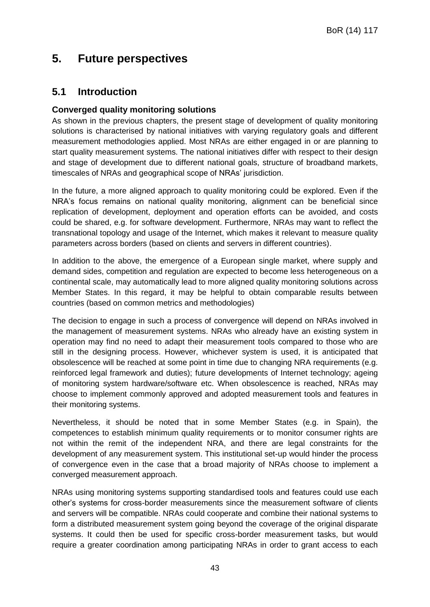## <span id="page-42-0"></span>**5. Future perspectives**

## <span id="page-42-1"></span>**5.1 Introduction**

### **Converged quality monitoring solutions**

As shown in the previous chapters, the present stage of development of quality monitoring solutions is characterised by national initiatives with varying regulatory goals and different measurement methodologies applied. Most NRAs are either engaged in or are planning to start quality measurement systems. The national initiatives differ with respect to their design and stage of development due to different national goals, structure of broadband markets, timescales of NRAs and geographical scope of NRAs' jurisdiction.

In the future, a more aligned approach to quality monitoring could be explored. Even if the NRA's focus remains on national quality monitoring, alignment can be beneficial since replication of development, deployment and operation efforts can be avoided, and costs could be shared, e.g. for software development. Furthermore, NRAs may want to reflect the transnational topology and usage of the Internet, which makes it relevant to measure quality parameters across borders (based on clients and servers in different countries).

In addition to the above, the emergence of a European single market, where supply and demand sides, competition and regulation are expected to become less heterogeneous on a continental scale, may automatically lead to more aligned quality monitoring solutions across Member States. In this regard, it may be helpful to obtain comparable results between countries (based on common metrics and methodologies)

The decision to engage in such a process of convergence will depend on NRAs involved in the management of measurement systems. NRAs who already have an existing system in operation may find no need to adapt their measurement tools compared to those who are still in the designing process. However, whichever system is used, it is anticipated that obsolescence will be reached at some point in time due to changing NRA requirements (e.g. reinforced legal framework and duties); future developments of Internet technology; ageing of monitoring system hardware/software etc. When obsolescence is reached, NRAs may choose to implement commonly approved and adopted measurement tools and features in their monitoring systems.

Nevertheless, it should be noted that in some Member States (e.g. in Spain), the competences to establish minimum quality requirements or to monitor consumer rights are not within the remit of the independent NRA, and there are legal constraints for the development of any measurement system. This institutional set-up would hinder the process of convergence even in the case that a broad majority of NRAs choose to implement a converged measurement approach.

NRAs using monitoring systems supporting standardised tools and features could use each other's systems for cross-border measurements since the measurement software of clients and servers will be compatible. NRAs could cooperate and combine their national systems to form a distributed measurement system going beyond the coverage of the original disparate systems. It could then be used for specific cross-border measurement tasks, but would require a greater coordination among participating NRAs in order to grant access to each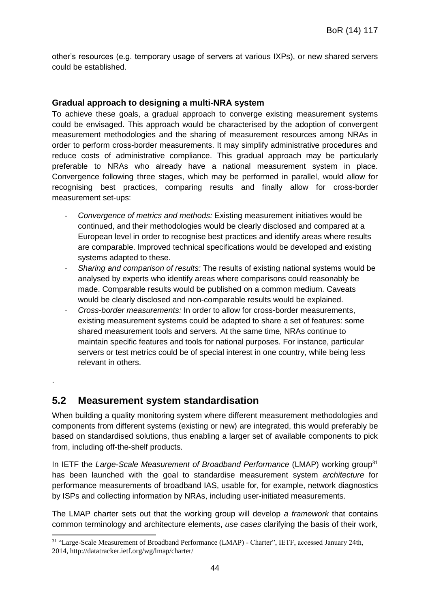other's resources (e.g. temporary usage of servers at various IXPs), or new shared servers could be established.

#### **Gradual approach to designing a multi-NRA system**

To achieve these goals, a gradual approach to converge existing measurement systems could be envisaged. This approach would be characterised by the adoption of convergent measurement methodologies and the sharing of measurement resources among NRAs in order to perform cross-border measurements. It may simplify administrative procedures and reduce costs of administrative compliance. This gradual approach may be particularly preferable to NRAs who already have a national measurement system in place. Convergence following three stages, which may be performed in parallel, would allow for recognising best practices, comparing results and finally allow for cross-border measurement set-ups:

- ‐ *Convergence of metrics and methods:* Existing measurement initiatives would be continued, and their methodologies would be clearly disclosed and compared at a European level in order to recognise best practices and identify areas where results are comparable. Improved technical specifications would be developed and existing systems adapted to these.
- ‐ *Sharing and comparison of results:* The results of existing national systems would be analysed by experts who identify areas where comparisons could reasonably be made. Comparable results would be published on a common medium. Caveats would be clearly disclosed and non-comparable results would be explained.
- ‐ *Cross-border measurements:* In order to allow for cross-border measurements, existing measurement systems could be adapted to share a set of features: some shared measurement tools and servers. At the same time, NRAs continue to maintain specific features and tools for national purposes. For instance, particular servers or test metrics could be of special interest in one country, while being less relevant in others.

## <span id="page-43-0"></span>**5.2 Measurement system standardisation**

.

When building a quality monitoring system where different measurement methodologies and components from different systems (existing or new) are integrated, this would preferably be based on standardised solutions, thus enabling a larger set of available components to pick from, including off-the-shelf products.

In IETF the *Large-Scale Measurement of Broadband Performance* (LMAP) working group<sup>31</sup> has been launched with the goal to standardise measurement system *architecture* for performance measurements of broadband IAS, usable for, for example, network diagnostics by ISPs and collecting information by NRAs, including user-initiated measurements.

The LMAP charter sets out that the working group will develop *a framework* that contains common terminology and architecture elements, *use cases* clarifying the basis of their work,

<sup>-</sup><sup>31</sup> "Large-Scale Measurement of Broadband Performance (LMAP) - Charter", IETF, accessed January 24th, 2014, http://datatracker.ietf.org/wg/lmap/charter/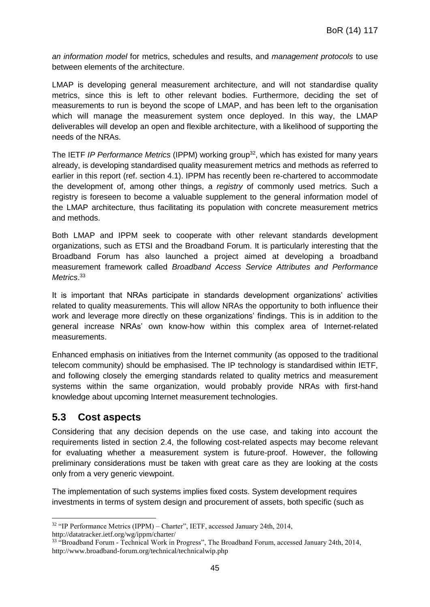*an information model* for metrics, schedules and results, and *management protocols* to use between elements of the architecture.

LMAP is developing general measurement architecture, and will not standardise quality metrics, since this is left to other relevant bodies. Furthermore, deciding the set of measurements to run is beyond the scope of LMAP, and has been left to the organisation which will manage the measurement system once deployed. In this way, the LMAP deliverables will develop an open and flexible architecture, with a likelihood of supporting the needs of the NRAs.

The IETF IP Performance Metrics (IPPM) working group<sup>32</sup>, which has existed for many years already, is developing standardised quality measurement metrics and methods as referred to earlier in this report (ref. section 4.1). IPPM has recently been re-chartered to accommodate the development of, among other things, a *registry* of commonly used metrics. Such a registry is foreseen to become a valuable supplement to the general information model of the LMAP architecture, thus facilitating its population with concrete measurement metrics and methods.

Both LMAP and IPPM seek to cooperate with other relevant standards development organizations, such as ETSI and the Broadband Forum. It is particularly interesting that the Broadband Forum has also launched a project aimed at developing a broadband measurement framework called *Broadband Access Service Attributes and Performance Metrics*. 33

It is important that NRAs participate in standards development organizations' activities related to quality measurements. This will allow NRAs the opportunity to both influence their work and leverage more directly on these organizations' findings. This is in addition to the general increase NRAs' own know-how within this complex area of Internet-related measurements.

Enhanced emphasis on initiatives from the Internet community (as opposed to the traditional telecom community) should be emphasised. The IP technology is standardised within IETF, and following closely the emerging standards related to quality metrics and measurement systems within the same organization, would probably provide NRAs with first-hand knowledge about upcoming Internet measurement technologies.

## <span id="page-44-0"></span>**5.3 Cost aspects**

-

Considering that any decision depends on the use case, and taking into account the requirements listed in section 2.4, the following cost-related aspects may become relevant for evaluating whether a measurement system is future-proof. However, the following preliminary considerations must be taken with great care as they are looking at the costs only from a very generic viewpoint.

The implementation of such systems implies fixed costs. System development requires investments in terms of system design and procurement of assets, both specific (such as

 $32$  "IP Performance Metrics (IPPM) – Charter", IETF, accessed January 24th, 2014, http://datatracker.ietf.org/wg/ippm/charter/

<sup>&</sup>lt;sup>33</sup> "Broadband Forum - Technical Work in Progress", The Broadband Forum, accessed January 24th, 2014, http://www.broadband-forum.org/technical/technicalwip.php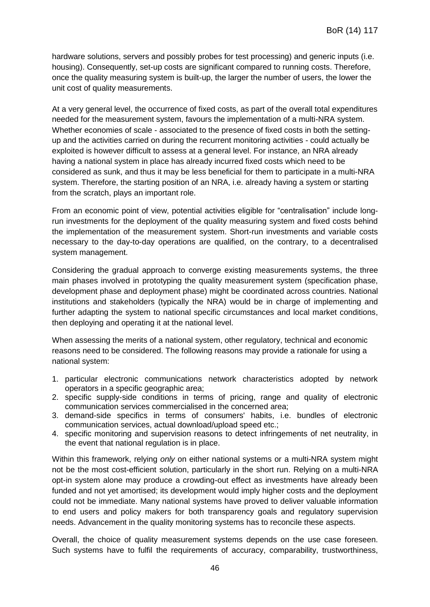hardware solutions, servers and possibly probes for test processing) and generic inputs (i.e. housing). Consequently, set-up costs are significant compared to running costs. Therefore, once the quality measuring system is built-up, the larger the number of users, the lower the unit cost of quality measurements.

At a very general level, the occurrence of fixed costs, as part of the overall total expenditures needed for the measurement system, favours the implementation of a multi-NRA system. Whether economies of scale - associated to the presence of fixed costs in both the settingup and the activities carried on during the recurrent monitoring activities - could actually be exploited is however difficult to assess at a general level. For instance, an NRA already having a national system in place has already incurred fixed costs which need to be considered as sunk, and thus it may be less beneficial for them to participate in a multi-NRA system. Therefore, the starting position of an NRA, i.e. already having a system or starting from the scratch, plays an important role.

From an economic point of view, potential activities eligible for "centralisation" include longrun investments for the deployment of the quality measuring system and fixed costs behind the implementation of the measurement system. Short-run investments and variable costs necessary to the day-to-day operations are qualified, on the contrary, to a decentralised system management.

Considering the gradual approach to converge existing measurements systems, the three main phases involved in prototyping the quality measurement system (specification phase, development phase and deployment phase) might be coordinated across countries. National institutions and stakeholders (typically the NRA) would be in charge of implementing and further adapting the system to national specific circumstances and local market conditions, then deploying and operating it at the national level.

When assessing the merits of a national system, other regulatory, technical and economic reasons need to be considered. The following reasons may provide a rationale for using a national system:

- 1. particular electronic communications network characteristics adopted by network operators in a specific geographic area;
- 2. specific supply-side conditions in terms of pricing, range and quality of electronic communication services commercialised in the concerned area;
- 3. demand-side specifics in terms of consumers' habits, i.e. bundles of electronic communication services, actual download/upload speed etc.;
- 4. specific monitoring and supervision reasons to detect infringements of net neutrality, in the event that national regulation is in place.

Within this framework, relying *only* on either national systems or a multi-NRA system might not be the most cost-efficient solution, particularly in the short run. Relying on a multi-NRA opt-in system alone may produce a crowding-out effect as investments have already been funded and not yet amortised; its development would imply higher costs and the deployment could not be immediate. Many national systems have proved to deliver valuable information to end users and policy makers for both transparency goals and regulatory supervision needs. Advancement in the quality monitoring systems has to reconcile these aspects.

Overall, the choice of quality measurement systems depends on the use case foreseen. Such systems have to fulfil the requirements of accuracy, comparability, trustworthiness,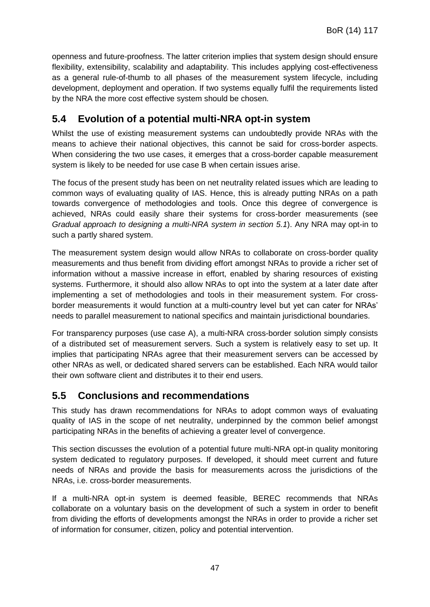openness and future-proofness. The latter criterion implies that system design should ensure flexibility, extensibility, scalability and adaptability. This includes applying cost-effectiveness as a general rule-of-thumb to all phases of the measurement system lifecycle, including development, deployment and operation. If two systems equally fulfil the requirements listed by the NRA the more cost effective system should be chosen.

## <span id="page-46-0"></span>**5.4 Evolution of a potential multi-NRA opt-in system**

Whilst the use of existing measurement systems can undoubtedly provide NRAs with the means to achieve their national objectives, this cannot be said for cross-border aspects. When considering the two use cases, it emerges that a cross-border capable measurement system is likely to be needed for use case B when certain issues arise.

The focus of the present study has been on net neutrality related issues which are leading to common ways of evaluating quality of IAS. Hence, this is already putting NRAs on a path towards convergence of methodologies and tools. Once this degree of convergence is achieved, NRAs could easily share their systems for cross-border measurements (see *Gradual approach to designing a multi-NRA system in section 5.1*). Any NRA may opt-in to such a partly shared system.

The measurement system design would allow NRAs to collaborate on cross-border quality measurements and thus benefit from dividing effort amongst NRAs to provide a richer set of information without a massive increase in effort, enabled by sharing resources of existing systems. Furthermore, it should also allow NRAs to opt into the system at a later date after implementing a set of methodologies and tools in their measurement system. For crossborder measurements it would function at a multi-country level but yet can cater for NRAs' needs to parallel measurement to national specifics and maintain jurisdictional boundaries.

For transparency purposes (use case A), a multi-NRA cross-border solution simply consists of a distributed set of measurement servers. Such a system is relatively easy to set up. It implies that participating NRAs agree that their measurement servers can be accessed by other NRAs as well, or dedicated shared servers can be established. Each NRA would tailor their own software client and distributes it to their end users.

## <span id="page-46-1"></span>**5.5 Conclusions and recommendations**

This study has drawn recommendations for NRAs to adopt common ways of evaluating quality of IAS in the scope of net neutrality, underpinned by the common belief amongst participating NRAs in the benefits of achieving a greater level of convergence.

This section discusses the evolution of a potential future multi-NRA opt-in quality monitoring system dedicated to regulatory purposes. If developed, it should meet current and future needs of NRAs and provide the basis for measurements across the jurisdictions of the NRAs, i.e. cross-border measurements.

If a multi-NRA opt-in system is deemed feasible, BEREC recommends that NRAs collaborate on a voluntary basis on the development of such a system in order to benefit from dividing the efforts of developments amongst the NRAs in order to provide a richer set of information for consumer, citizen, policy and potential intervention.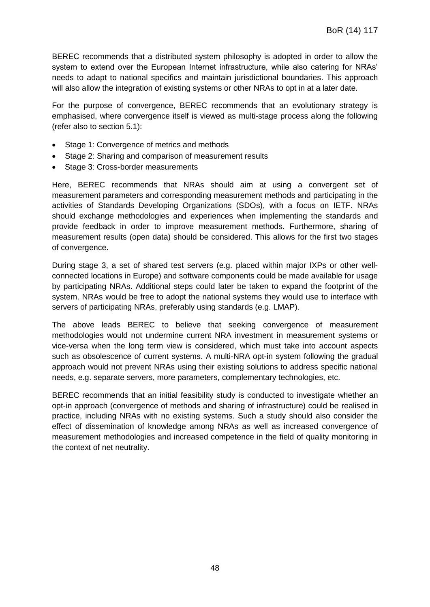BEREC recommends that a distributed system philosophy is adopted in order to allow the system to extend over the European Internet infrastructure, while also catering for NRAs' needs to adapt to national specifics and maintain jurisdictional boundaries. This approach will also allow the integration of existing systems or other NRAs to opt in at a later date.

For the purpose of convergence, BEREC recommends that an evolutionary strategy is emphasised, where convergence itself is viewed as multi-stage process along the following (refer also to section 5.1):

- Stage 1: Convergence of metrics and methods
- Stage 2: Sharing and comparison of measurement results
- Stage 3: Cross-border measurements

Here, BEREC recommends that NRAs should aim at using a convergent set of measurement parameters and corresponding measurement methods and participating in the activities of Standards Developing Organizations (SDOs), with a focus on IETF. NRAs should exchange methodologies and experiences when implementing the standards and provide feedback in order to improve measurement methods. Furthermore, sharing of measurement results (open data) should be considered. This allows for the first two stages of convergence.

During stage 3, a set of shared test servers (e.g. placed within major IXPs or other wellconnected locations in Europe) and software components could be made available for usage by participating NRAs. Additional steps could later be taken to expand the footprint of the system. NRAs would be free to adopt the national systems they would use to interface with servers of participating NRAs, preferably using standards (e.g. LMAP).

The above leads BEREC to believe that seeking convergence of measurement methodologies would not undermine current NRA investment in measurement systems or vice-versa when the long term view is considered, which must take into account aspects such as obsolescence of current systems. A multi-NRA opt-in system following the gradual approach would not prevent NRAs using their existing solutions to address specific national needs, e.g. separate servers, more parameters, complementary technologies, etc.

BEREC recommends that an initial feasibility study is conducted to investigate whether an opt-in approach (convergence of methods and sharing of infrastructure) could be realised in practice, including NRAs with no existing systems. Such a study should also consider the effect of dissemination of knowledge among NRAs as well as increased convergence of measurement methodologies and increased competence in the field of quality monitoring in the context of net neutrality.